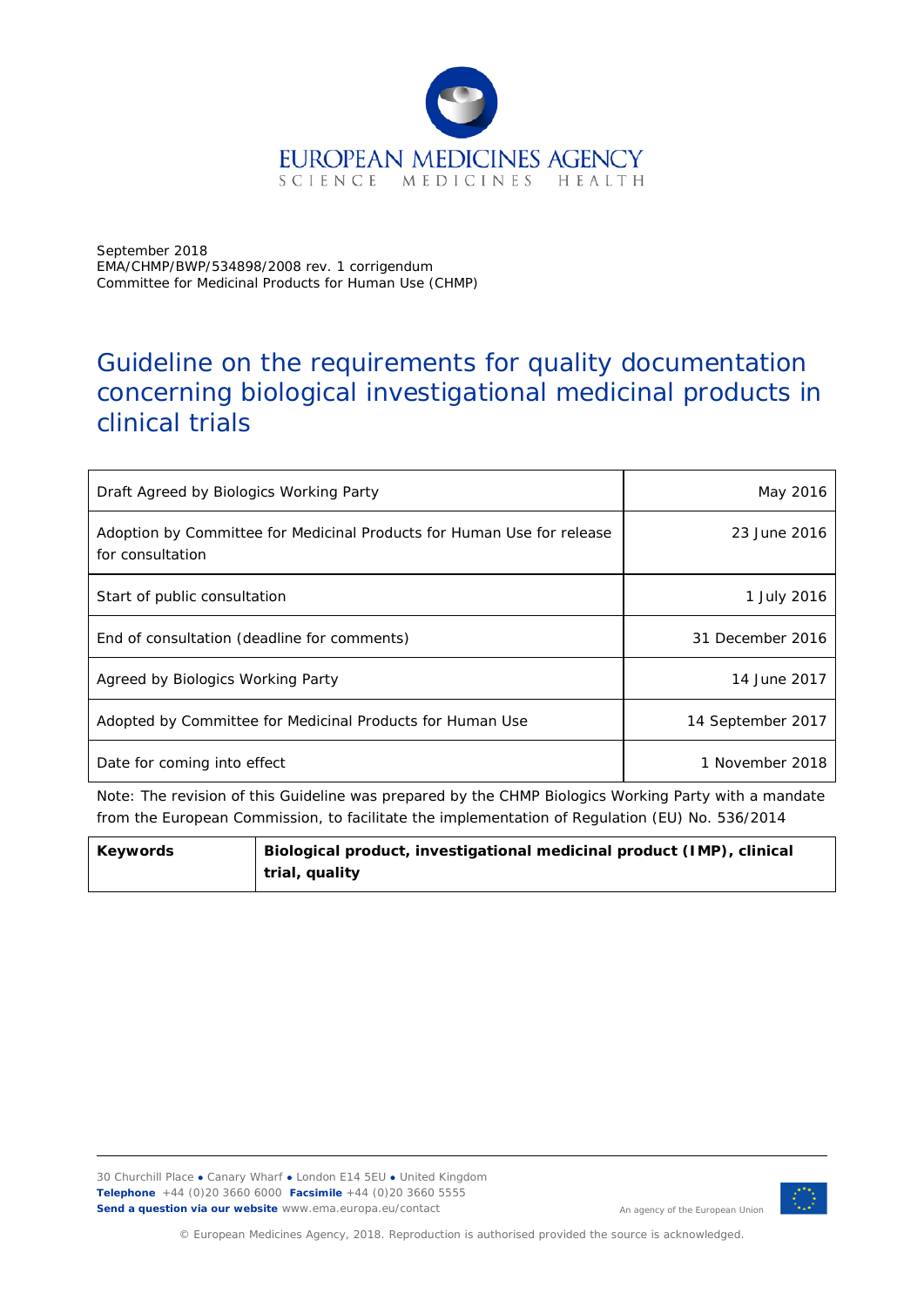

September 2018 EMA/CHMP/BWP/534898/2008 rev. 1 corrigendum Committee for Medicinal Products for Human Use (CHMP)

# Guideline on the requirements for quality documentation concerning biological investigational medicinal products in clinical trials

| Draft Agreed by Biologics Working Party                                                    | May 2016          |
|--------------------------------------------------------------------------------------------|-------------------|
| Adoption by Committee for Medicinal Products for Human Use for release<br>for consultation | 23 June 2016      |
| Start of public consultation                                                               | 1 July 2016       |
| End of consultation (deadline for comments)                                                | 31 December 2016  |
| Agreed by Biologics Working Party                                                          | 14 June 2017      |
| Adopted by Committee for Medicinal Products for Human Use                                  | 14 September 2017 |
| Date for coming into effect                                                                | 1 November 2018   |

Note: The revision of this Guideline was prepared by the CHMP Biologics Working Party with a mandate from the European Commission, to facilitate the implementation of Regulation (EU) No. 536/2014

| Keywords | Biological product, investigational medicinal product (IMP), clinical |
|----------|-----------------------------------------------------------------------|
|          | trial, quality                                                        |



An agency of the European Union

© European Medicines Agency, 2018. Reproduction is authorised provided the source is acknowledged.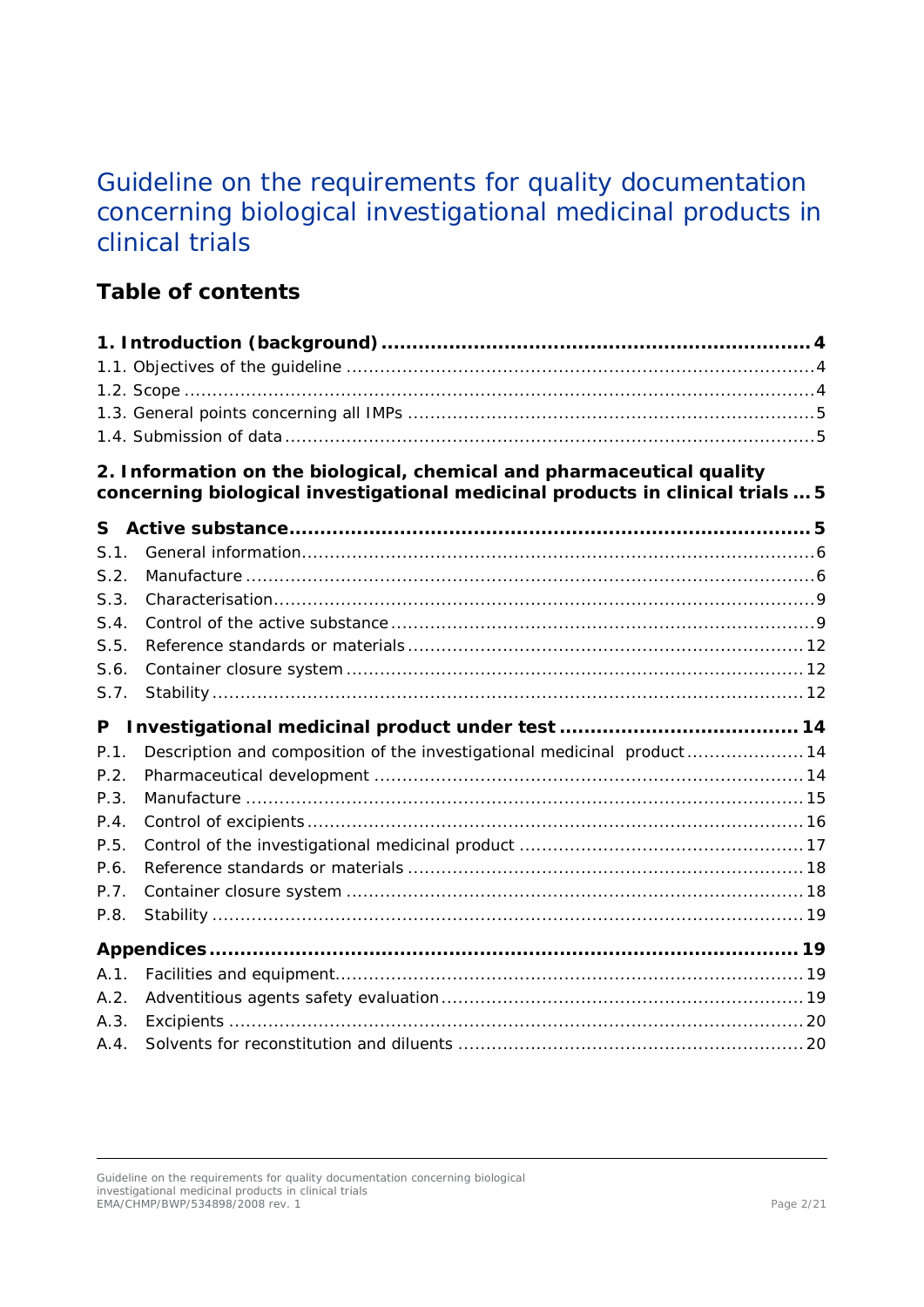# Guideline on the requirements for quality documentation concerning biological investigational medicinal products in clinical trials

## **Table of contents**

|         | 2. Information on the biological, chemical and pharmaceutical quality<br>concerning biological investigational medicinal products in clinical trials  5 |  |
|---------|---------------------------------------------------------------------------------------------------------------------------------------------------------|--|
| S.      |                                                                                                                                                         |  |
| $S.1$ . |                                                                                                                                                         |  |
| S.2.    |                                                                                                                                                         |  |
| S.3.    |                                                                                                                                                         |  |
| S.4.    |                                                                                                                                                         |  |
| S.5.    |                                                                                                                                                         |  |
| S.6.    |                                                                                                                                                         |  |
| S.7.    |                                                                                                                                                         |  |
| P       |                                                                                                                                                         |  |
| P.1.    | Description and composition of the investigational medicinal product  14                                                                                |  |
| P.2.    |                                                                                                                                                         |  |
| P.3.    |                                                                                                                                                         |  |
| P.4.    |                                                                                                                                                         |  |
| P.5.    |                                                                                                                                                         |  |
| P.6.    |                                                                                                                                                         |  |
| P.7.    |                                                                                                                                                         |  |
| P.8.    |                                                                                                                                                         |  |
|         |                                                                                                                                                         |  |
| A.1.    |                                                                                                                                                         |  |
| A.2.    |                                                                                                                                                         |  |
| A.3.    |                                                                                                                                                         |  |
| A.4.    |                                                                                                                                                         |  |

Guideline on the requirements for quality documentation concerning biological investigational medicinal products in clinical trials EMA/CHMP/BWP/534898/2008 rev. 1 Page 2/21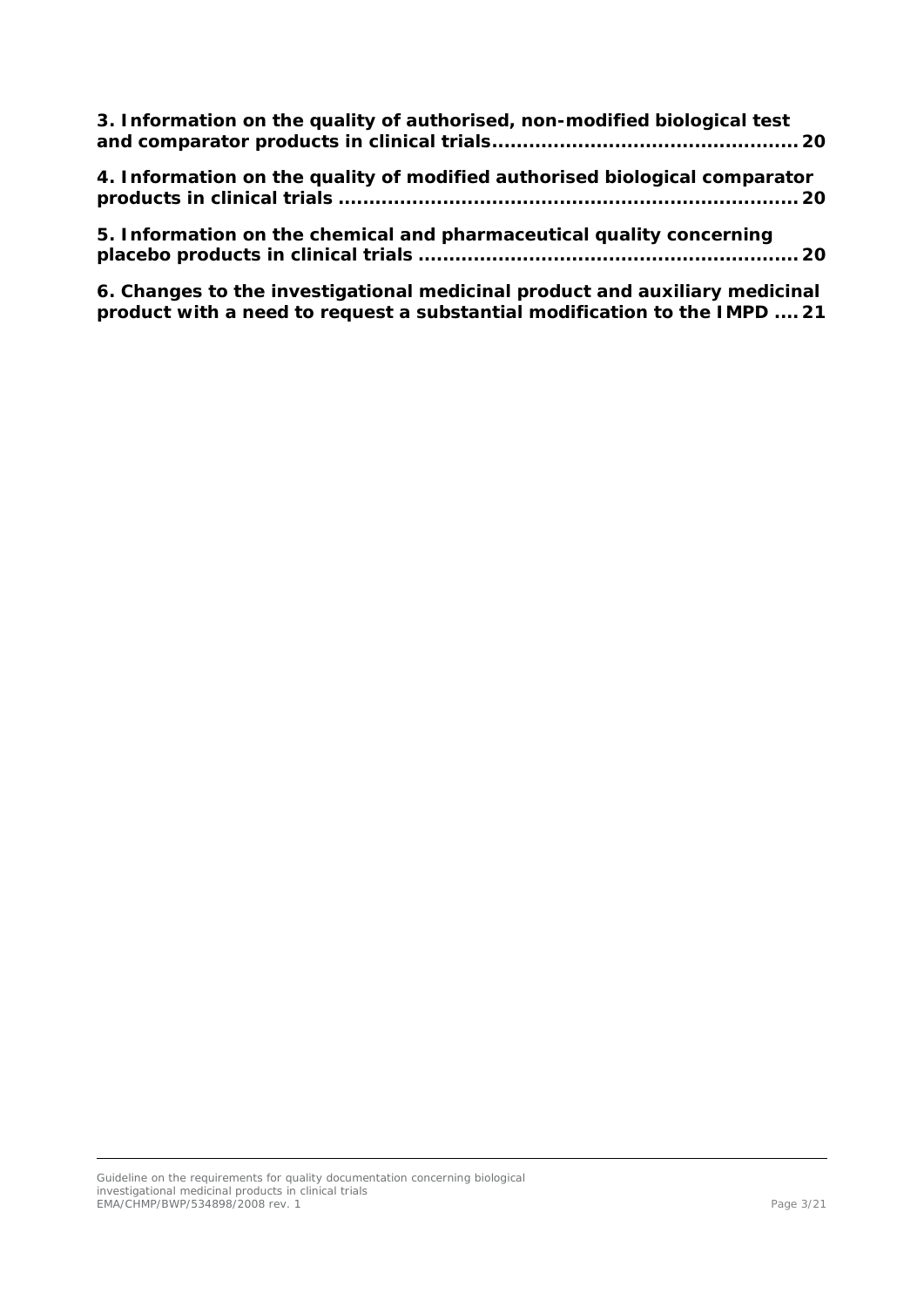| 3. Information on the quality of authorised, non-modified biological test  |  |
|----------------------------------------------------------------------------|--|
| 4. Information on the quality of modified authorised biological comparator |  |
| 5. Information on the chemical and pharmaceutical quality concerning       |  |

**[6. Changes to the investigational medicinal product and auxiliary medicinal](#page-20-0)  [product with a need to request a substantial modification to the IMPD](#page-20-0) .... 21**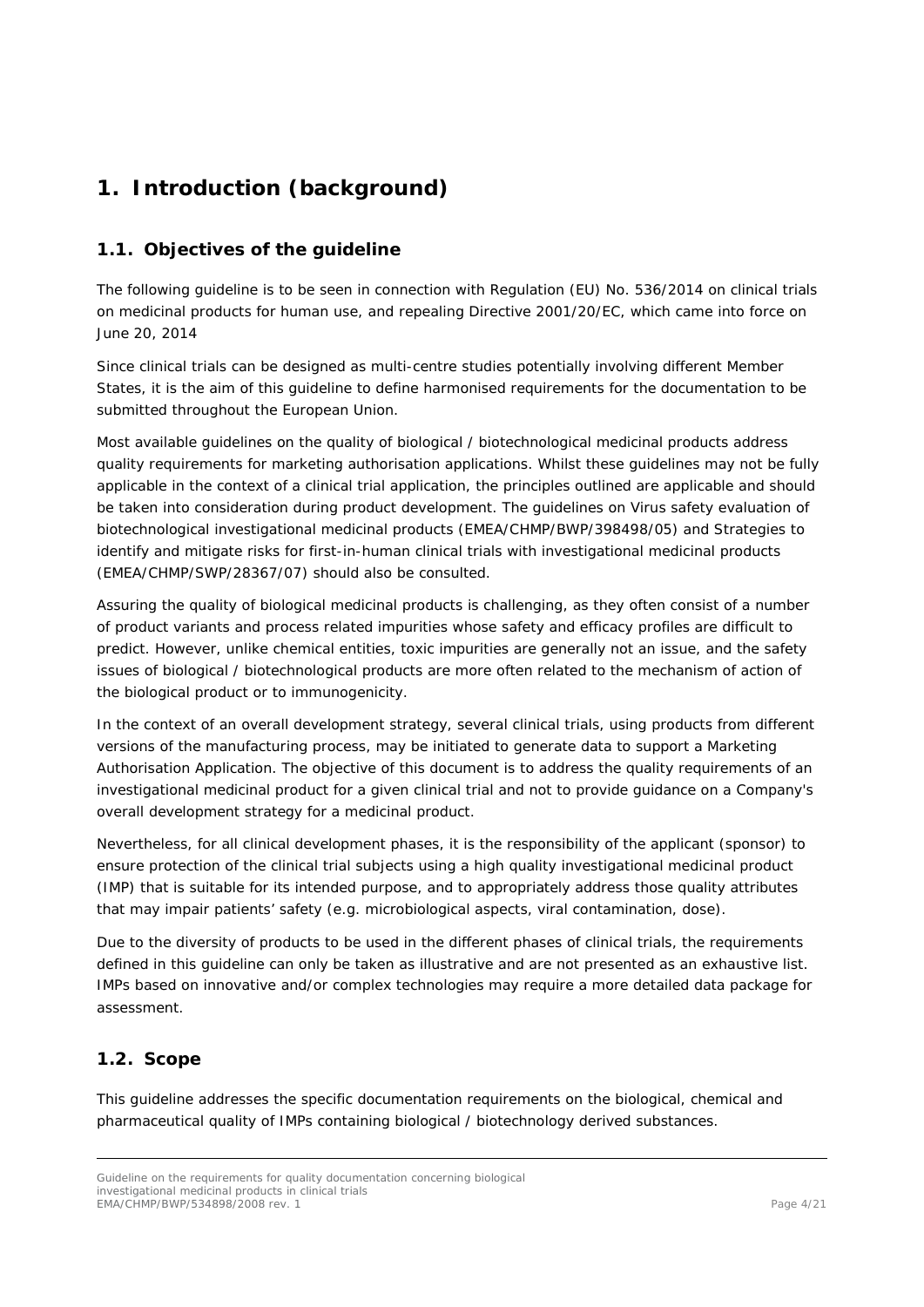## <span id="page-3-0"></span>**1. Introduction (background)**

## <span id="page-3-1"></span>*1.1. Objectives of the guideline*

The following guideline is to be seen in connection with Regulation (EU) No. 536/2014 on clinical trials on medicinal products for human use, and repealing Directive 2001/20/EC, which came into force on June 20, 2014

Since clinical trials can be designed as multi-centre studies potentially involving different Member States, it is the aim of this guideline to define harmonised requirements for the documentation to be submitted throughout the European Union.

Most available guidelines on the quality of biological / biotechnological medicinal products address quality requirements for marketing authorisation applications. Whilst these guidelines may not be fully applicable in the context of a clinical trial application, the principles outlined are applicable and should be taken into consideration during product development. The guidelines on Virus safety evaluation of biotechnological investigational medicinal products (EMEA/CHMP/BWP/398498/05) and Strategies to identify and mitigate risks for first-in-human clinical trials with investigational medicinal products (EMEA/CHMP/SWP/28367/07) should also be consulted.

Assuring the quality of biological medicinal products is challenging, as they often consist of a number of product variants and process related impurities whose safety and efficacy profiles are difficult to predict. However, unlike chemical entities, toxic impurities are generally not an issue, and the safety issues of biological / biotechnological products are more often related to the mechanism of action of the biological product or to immunogenicity.

In the context of an overall development strategy, several clinical trials, using products from different versions of the manufacturing process, may be initiated to generate data to support a Marketing Authorisation Application. The objective of this document is to address the quality requirements of an investigational medicinal product for a given clinical trial and not to provide guidance on a Company's overall development strategy for a medicinal product.

Nevertheless, for all clinical development phases, it is the responsibility of the applicant (sponsor) to ensure protection of the clinical trial subjects using a high quality investigational medicinal product (IMP) that is suitable for its intended purpose, and to appropriately address those quality attributes that may impair patients' safety (e.g. microbiological aspects, viral contamination, dose).

Due to the diversity of products to be used in the different phases of clinical trials, the requirements defined in this guideline can only be taken as illustrative and are not presented as an exhaustive list. IMPs based on innovative and/or complex technologies may require a more detailed data package for assessment.

## <span id="page-3-2"></span>*1.2. Scope*

This guideline addresses the specific documentation requirements on the biological, chemical and pharmaceutical quality of IMPs containing biological / biotechnology derived substances.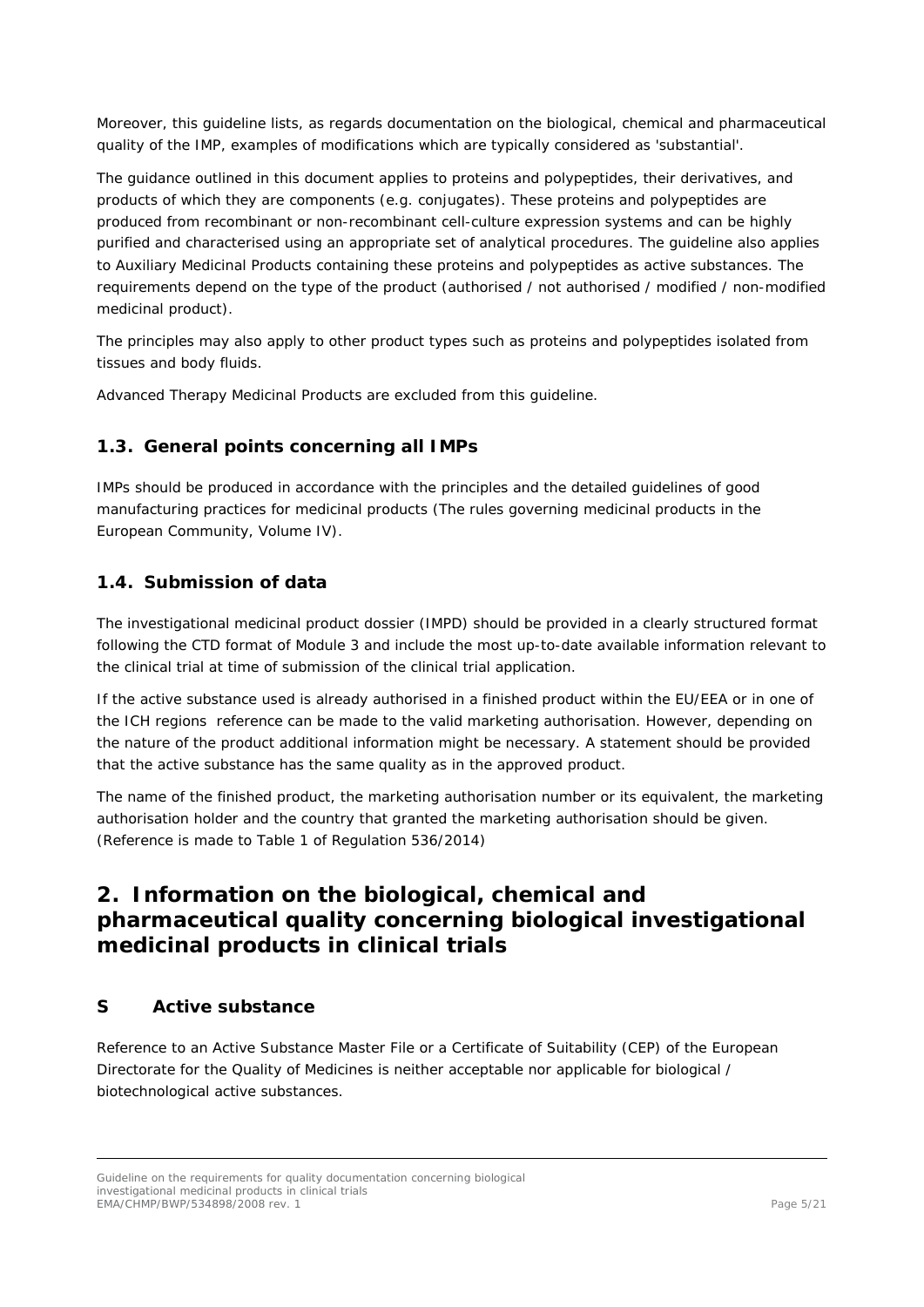Moreover, this guideline lists, as regards documentation on the biological, chemical and pharmaceutical quality of the IMP, examples of modifications which are typically considered as 'substantial'.

The guidance outlined in this document applies to proteins and polypeptides, their derivatives, and products of which they are components (e.g. conjugates). These proteins and polypeptides are produced from recombinant or non-recombinant cell-culture expression systems and can be highly purified and characterised using an appropriate set of analytical procedures. The guideline also applies to Auxiliary Medicinal Products containing these proteins and polypeptides as active substances. The requirements depend on the type of the product (authorised / not authorised / modified / non-modified medicinal product).

The principles may also apply to other product types such as proteins and polypeptides isolated from tissues and body fluids.

Advanced Therapy Medicinal Products are excluded from this guideline.

#### <span id="page-4-0"></span>*1.3. General points concerning all IMPs*

IMPs should be produced in accordance with the principles and the detailed guidelines of good manufacturing practices for medicinal products (The rules governing medicinal products in the European Community, Volume IV).

#### <span id="page-4-1"></span>*1.4. Submission of data*

The investigational medicinal product dossier (IMPD) should be provided in a clearly structured format following the CTD format of Module 3 and include the most up-to-date available information relevant to the clinical trial at time of submission of the clinical trial application.

If the active substance used is already authorised in a finished product within the EU/EEA or in one of the ICH regions reference can be made to the valid marketing authorisation. However, depending on the nature of the product additional information might be necessary. A statement should be provided that the active substance has the same quality as in the approved product.

The name of the finished product, the marketing authorisation number or its equivalent, the marketing authorisation holder and the country that granted the marketing authorisation should be given. (Reference is made to Table 1 of Regulation 536/2014)

## <span id="page-4-2"></span>**2. Information on the biological, chemical and pharmaceutical quality concerning biological investigational medicinal products in clinical trials**

#### <span id="page-4-3"></span>**S Active substance**

Reference to an Active Substance Master File or a Certificate of Suitability (CEP) of the European Directorate for the Quality of Medicines is neither acceptable nor applicable for biological / biotechnological active substances.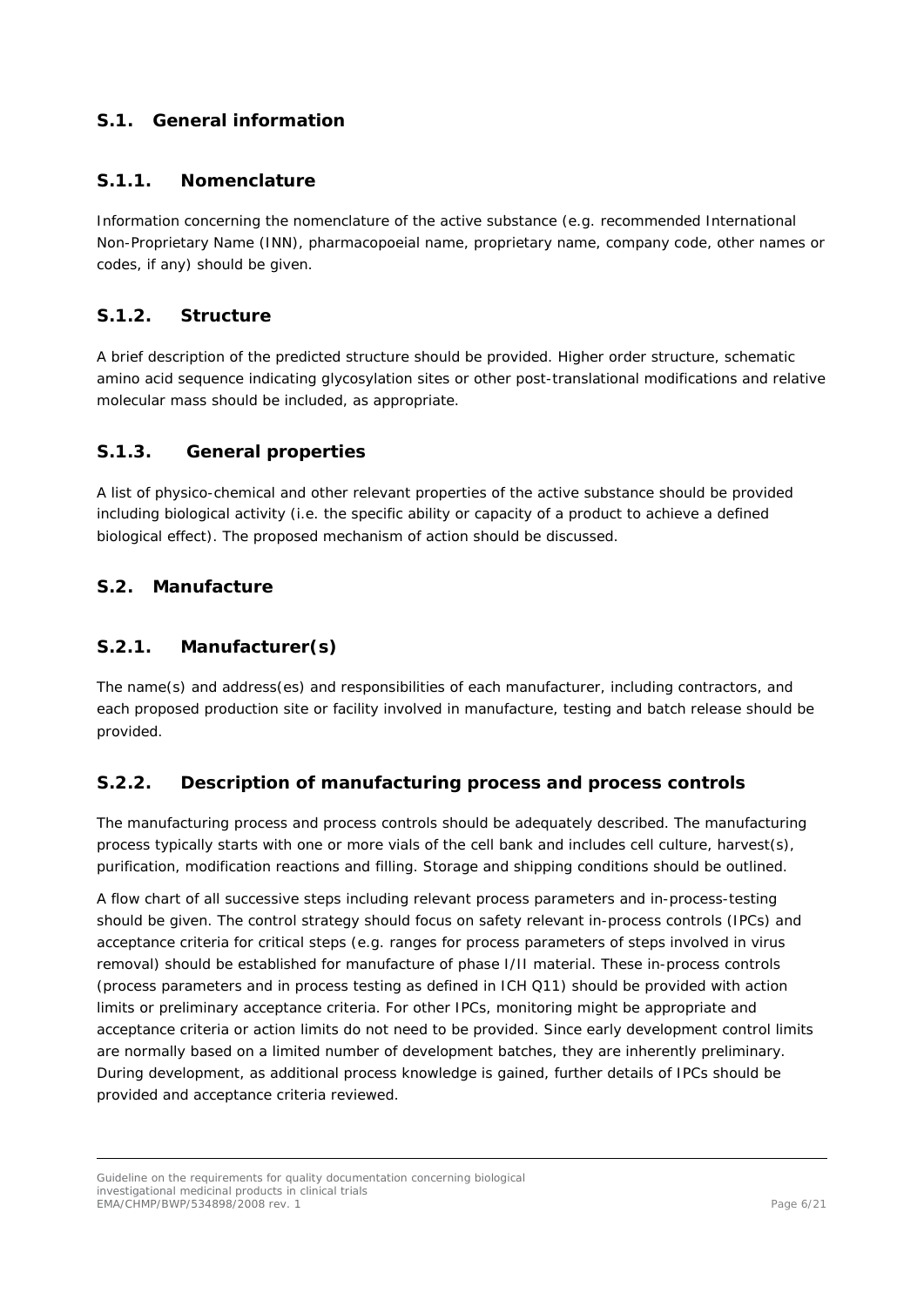## <span id="page-5-0"></span>*S.1. General information*

#### **S.1.1. Nomenclature**

Information concerning the nomenclature of the active substance (e.g. recommended International Non-Proprietary Name (INN), pharmacopoeial name, proprietary name, company code, other names or codes, if any) should be given.

## **S.1.2. Structure**

A brief description of the predicted structure should be provided. Higher order structure, schematic amino acid sequence indicating glycosylation sites or other post-translational modifications and relative molecular mass should be included, as appropriate.

#### **S.1.3. General properties**

A list of physico-chemical and other relevant properties of the active substance should be provided including biological activity (i.e. the specific ability or capacity of a product to achieve a defined biological effect). The proposed mechanism of action should be discussed.

## <span id="page-5-1"></span>*S.2. Manufacture*

#### **S.2.1. Manufacturer(s)**

The name(s) and address(es) and responsibilities of each manufacturer, including contractors, and each proposed production site or facility involved in manufacture, testing and batch release should be provided.

## **S.2.2. Description of manufacturing process and process controls**

The manufacturing process and process controls should be adequately described. The manufacturing process typically starts with one or more vials of the cell bank and includes cell culture, harvest(s), purification, modification reactions and filling. Storage and shipping conditions should be outlined.

A flow chart of all successive steps including relevant process parameters and in-process-testing should be given. The control strategy should focus on safety relevant in-process controls (IPCs) and acceptance criteria for critical steps (e.g. ranges for process parameters of steps involved in virus removal) should be established for manufacture of phase I/II material. These in-process controls (process parameters and in process testing as defined in ICH Q11) should be provided with action limits or preliminary acceptance criteria. For other IPCs, monitoring might be appropriate and acceptance criteria or action limits do not need to be provided. Since early development control limits are normally based on a limited number of development batches, they are inherently preliminary. During development, as additional process knowledge is gained, further details of IPCs should be provided and acceptance criteria reviewed.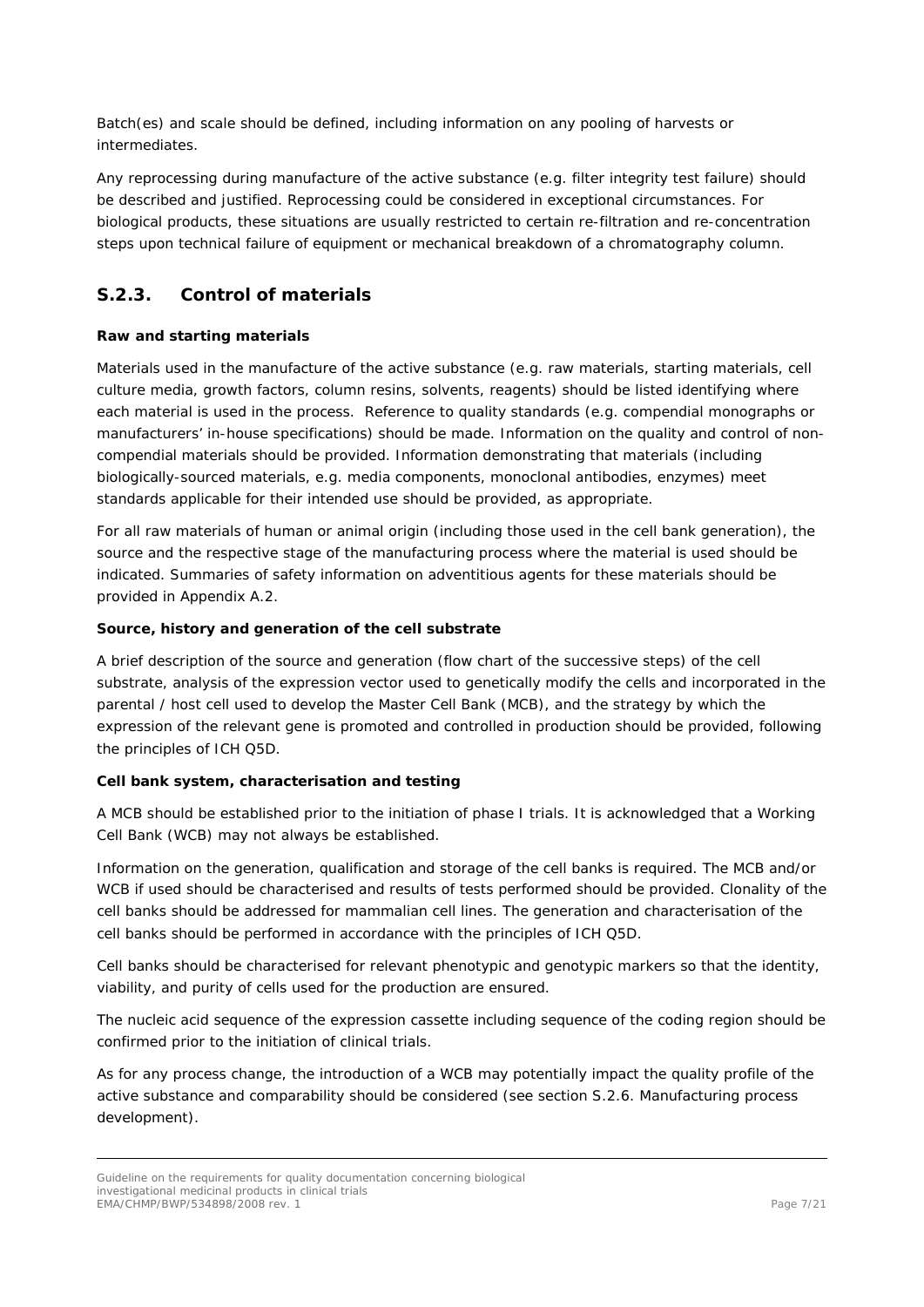Batch(es) and scale should be defined, including information on any pooling of harvests or intermediates.

Any reprocessing during manufacture of the active substance (e.g. filter integrity test failure) should be described and justified. Reprocessing could be considered in exceptional circumstances. For biological products, these situations are usually restricted to certain re-filtration and re-concentration steps upon technical failure of equipment or mechanical breakdown of a chromatography column.

## **S.2.3. Control of materials**

#### **Raw and starting materials**

Materials used in the manufacture of the active substance (e.g. raw materials, starting materials, cell culture media, growth factors, column resins, solvents, reagents) should be listed identifying where each material is used in the process. Reference to quality standards (e.g. compendial monographs or manufacturers' in-house specifications) should be made. Information on the quality and control of noncompendial materials should be provided. Information demonstrating that materials (including biologically-sourced materials, e.g. media components, monoclonal antibodies, enzymes) meet standards applicable for their intended use should be provided, as appropriate.

For all raw materials of human or animal origin (including those used in the cell bank generation), the source and the respective stage of the manufacturing process where the material is used should be indicated. Summaries of safety information on adventitious agents for these materials should be provided in Appendix A.2.

#### **Source, history and generation of the cell substrate**

A brief description of the source and generation (flow chart of the successive steps) of the cell substrate, analysis of the expression vector used to genetically modify the cells and incorporated in the parental / host cell used to develop the Master Cell Bank (MCB), and the strategy by which the expression of the relevant gene is promoted and controlled in production should be provided, following the principles of ICH Q5D.

#### **Cell bank system, characterisation and testing**

A MCB should be established prior to the initiation of phase I trials. It is acknowledged that a Working Cell Bank (WCB) may not always be established.

Information on the generation, qualification and storage of the cell banks is required. The MCB and/or WCB if used should be characterised and results of tests performed should be provided. Clonality of the cell banks should be addressed for mammalian cell lines. The generation and characterisation of the cell banks should be performed in accordance with the principles of ICH Q5D.

Cell banks should be characterised for relevant phenotypic and genotypic markers so that the identity, viability, and purity of cells used for the production are ensured.

The nucleic acid sequence of the expression cassette including sequence of the coding region should be confirmed prior to the initiation of clinical trials.

As for any process change, the introduction of a WCB may potentially impact the quality profile of the active substance and comparability should be considered (see section S.2.6. Manufacturing process development).

Guideline on the requirements for quality documentation concerning biological investigational medicinal products in clinical trials EMA/CHMP/BWP/534898/2008 rev. 1 **Page 7/21**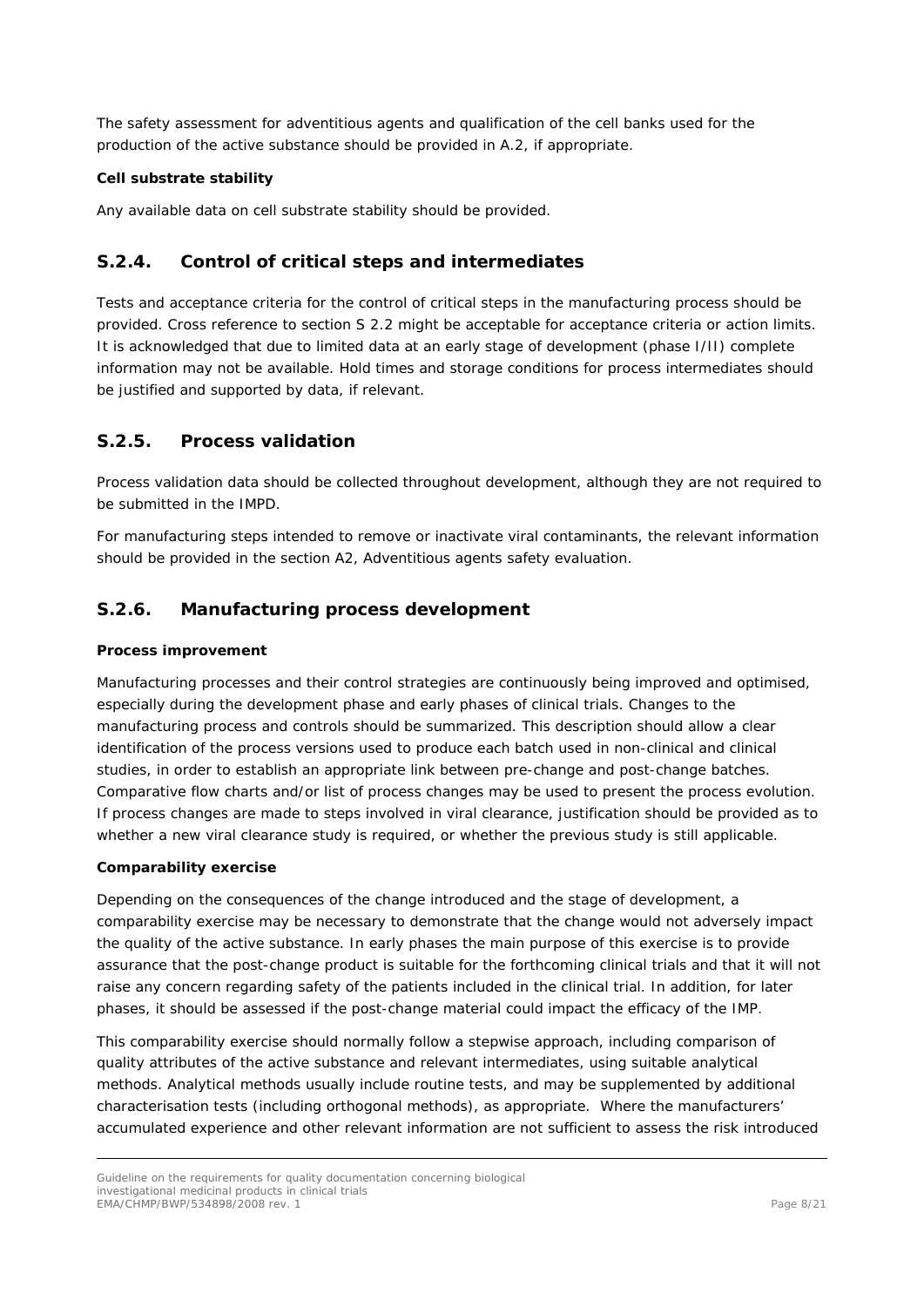The safety assessment for adventitious agents and qualification of the cell banks used for the production of the active substance should be provided in A.2, if appropriate.

#### **Cell substrate stability**

Any available data on cell substrate stability should be provided.

#### **S.2.4. Control of critical steps and intermediates**

Tests and acceptance criteria for the control of critical steps in the manufacturing process should be provided. Cross reference to section S 2.2 might be acceptable for acceptance criteria or action limits. It is acknowledged that due to limited data at an early stage of development (phase I/II) complete information may not be available. Hold times and storage conditions for process intermediates should be justified and supported by data, if relevant.

#### **S.2.5. Process validation**

Process validation data should be collected throughout development, although they are not required to be submitted in the IMPD.

For manufacturing steps intended to remove or inactivate viral contaminants, the relevant information should be provided in the section A2, Adventitious agents safety evaluation.

#### **S.2.6. Manufacturing process development**

#### **Process improvement**

Manufacturing processes and their control strategies are continuously being improved and optimised, especially during the development phase and early phases of clinical trials. Changes to the manufacturing process and controls should be summarized. This description should allow a clear identification of the process versions used to produce each batch used in non-clinical and clinical studies, in order to establish an appropriate link between pre-change and post-change batches. Comparative flow charts and/or list of process changes may be used to present the process evolution. If process changes are made to steps involved in viral clearance, justification should be provided as to whether a new viral clearance study is required, or whether the previous study is still applicable.

#### **Comparability exercise**

Depending on the consequences of the change introduced and the stage of development, a comparability exercise may be necessary to demonstrate that the change would not adversely impact the quality of the active substance. In early phases the main purpose of this exercise is to provide assurance that the post-change product is suitable for the forthcoming clinical trials and that it will not raise any concern regarding safety of the patients included in the clinical trial. In addition, for later phases, it should be assessed if the post-change material could impact the efficacy of the IMP.

This comparability exercise should normally follow a stepwise approach, including comparison of quality attributes of the active substance and relevant intermediates, using suitable analytical methods. Analytical methods usually include routine tests, and may be supplemented by additional characterisation tests (including orthogonal methods), as appropriate. Where the manufacturers' accumulated experience and other relevant information are not sufficient to assess the risk introduced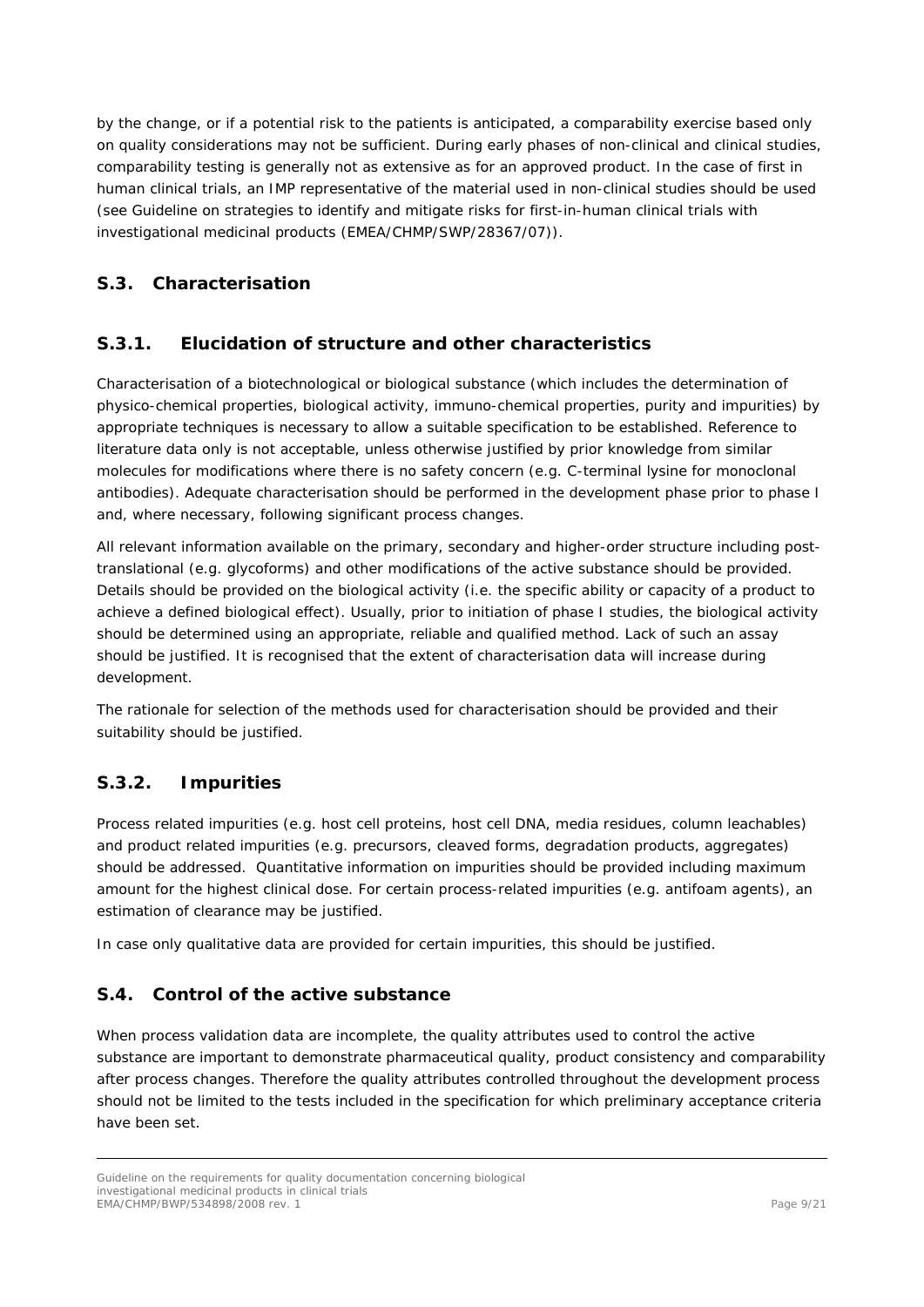by the change, or if a potential risk to the patients is anticipated, a comparability exercise based only on quality considerations may not be sufficient. During early phases of non-clinical and clinical studies, comparability testing is generally not as extensive as for an approved product. In the case of first in human clinical trials, an IMP representative of the material used in non-clinical studies should be used (see Guideline on strategies to identify and mitigate risks for first-in-human clinical trials with investigational medicinal products (EMEA/CHMP/SWP/28367/07)).

### <span id="page-8-0"></span>*S.3. Characterisation*

#### **S.3.1. Elucidation of structure and other characteristics**

Characterisation of a biotechnological or biological substance (which includes the determination of physico-chemical properties, biological activity, immuno-chemical properties, purity and impurities) by appropriate techniques is necessary to allow a suitable specification to be established. Reference to literature data only is not acceptable, unless otherwise justified by prior knowledge from similar molecules for modifications where there is no safety concern (e.g. C-terminal lysine for monoclonal antibodies). Adequate characterisation should be performed in the development phase prior to phase I and, where necessary, following significant process changes.

All relevant information available on the primary, secondary and higher-order structure including posttranslational (e.g. glycoforms) and other modifications of the active substance should be provided. Details should be provided on the biological activity (i.e. the specific ability or capacity of a product to achieve a defined biological effect). Usually, prior to initiation of phase I studies, the biological activity should be determined using an appropriate, reliable and qualified method. Lack of such an assay should be justified. It is recognised that the extent of characterisation data will increase during development.

The rationale for selection of the methods used for characterisation should be provided and their suitability should be justified.

#### **S.3.2. Impurities**

Process related impurities (e.g. host cell proteins, host cell DNA, media residues, column leachables) and product related impurities (e.g. precursors, cleaved forms, degradation products, aggregates) should be addressed. Quantitative information on impurities should be provided including maximum amount for the highest clinical dose. For certain process-related impurities (e.g. antifoam agents), an estimation of clearance may be justified.

In case only qualitative data are provided for certain impurities, this should be justified.

#### <span id="page-8-1"></span>*S.4. Control of the active substance*

When process validation data are incomplete, the quality attributes used to control the active substance are important to demonstrate pharmaceutical quality, product consistency and comparability after process changes. Therefore the quality attributes controlled throughout the development process should not be limited to the tests included in the specification for which preliminary acceptance criteria have been set.

Guideline on the requirements for quality documentation concerning biological investigational medicinal products in clinical trials EMA/CHMP/BWP/534898/2008 rev. 1 **Page 9/21**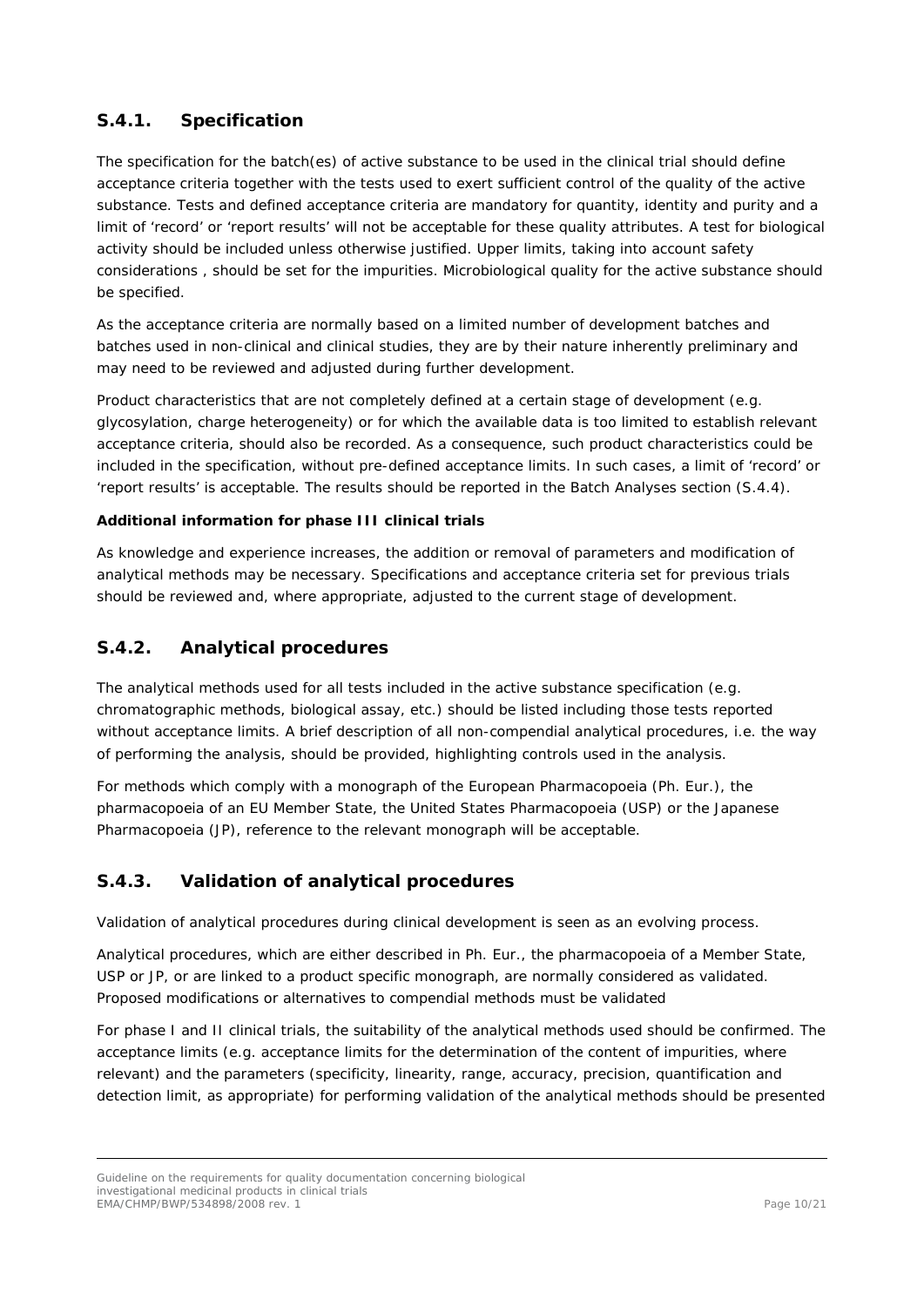## **S.4.1. Specification**

The specification for the batch(es) of active substance to be used in the clinical trial should define acceptance criteria together with the tests used to exert sufficient control of the quality of the active substance. Tests and defined acceptance criteria are mandatory for quantity, identity and purity and a limit of 'record' or 'report results' will not be acceptable for these quality attributes. A test for biological activity should be included unless otherwise justified. Upper limits, taking into account safety considerations , should be set for the impurities. Microbiological quality for the active substance should be specified.

As the acceptance criteria are normally based on a limited number of development batches and batches used in non-clinical and clinical studies, they are by their nature inherently preliminary and may need to be reviewed and adjusted during further development.

Product characteristics that are not completely defined at a certain stage of development (e.g. glycosylation, charge heterogeneity) or for which the available data is too limited to establish relevant acceptance criteria, should also be recorded. As a consequence, such product characteristics could be included in the specification, without pre-defined acceptance limits. In such cases, a limit of 'record' or 'report results' is acceptable. The results should be reported in the Batch Analyses section (S.4.4).

#### **Additional information for phase III clinical trials**

As knowledge and experience increases, the addition or removal of parameters and modification of analytical methods may be necessary. Specifications and acceptance criteria set for previous trials should be reviewed and, where appropriate, adjusted to the current stage of development.

## **S.4.2. Analytical procedures**

The analytical methods used for all tests included in the active substance specification (e.g. chromatographic methods, biological assay, etc.) should be listed including those tests reported without acceptance limits. A brief description of all non-compendial analytical procedures, i.e. the way of performing the analysis, should be provided, highlighting controls used in the analysis.

For methods which comply with a monograph of the European Pharmacopoeia (Ph. Eur.), the pharmacopoeia of an EU Member State, the United States Pharmacopoeia (USP) or the Japanese Pharmacopoeia (JP), reference to the relevant monograph will be acceptable.

## **S.4.3. Validation of analytical procedures**

Validation of analytical procedures during clinical development is seen as an evolving process.

Analytical procedures, which are either described in Ph. Eur., the pharmacopoeia of a Member State, USP or JP, or are linked to a product specific monograph, are normally considered as validated. Proposed modifications or alternatives to compendial methods must be validated

For phase I and II clinical trials, the suitability of the analytical methods used should be confirmed. The acceptance limits (e.g. acceptance limits for the determination of the content of impurities, where relevant) and the parameters (specificity, linearity, range, accuracy, precision, quantification and detection limit, as appropriate) for performing validation of the analytical methods should be presented

Guideline on the requirements for quality documentation concerning biological investigational medicinal products in clinical trials EMA/CHMP/BWP/534898/2008 rev. 1 Page 10/21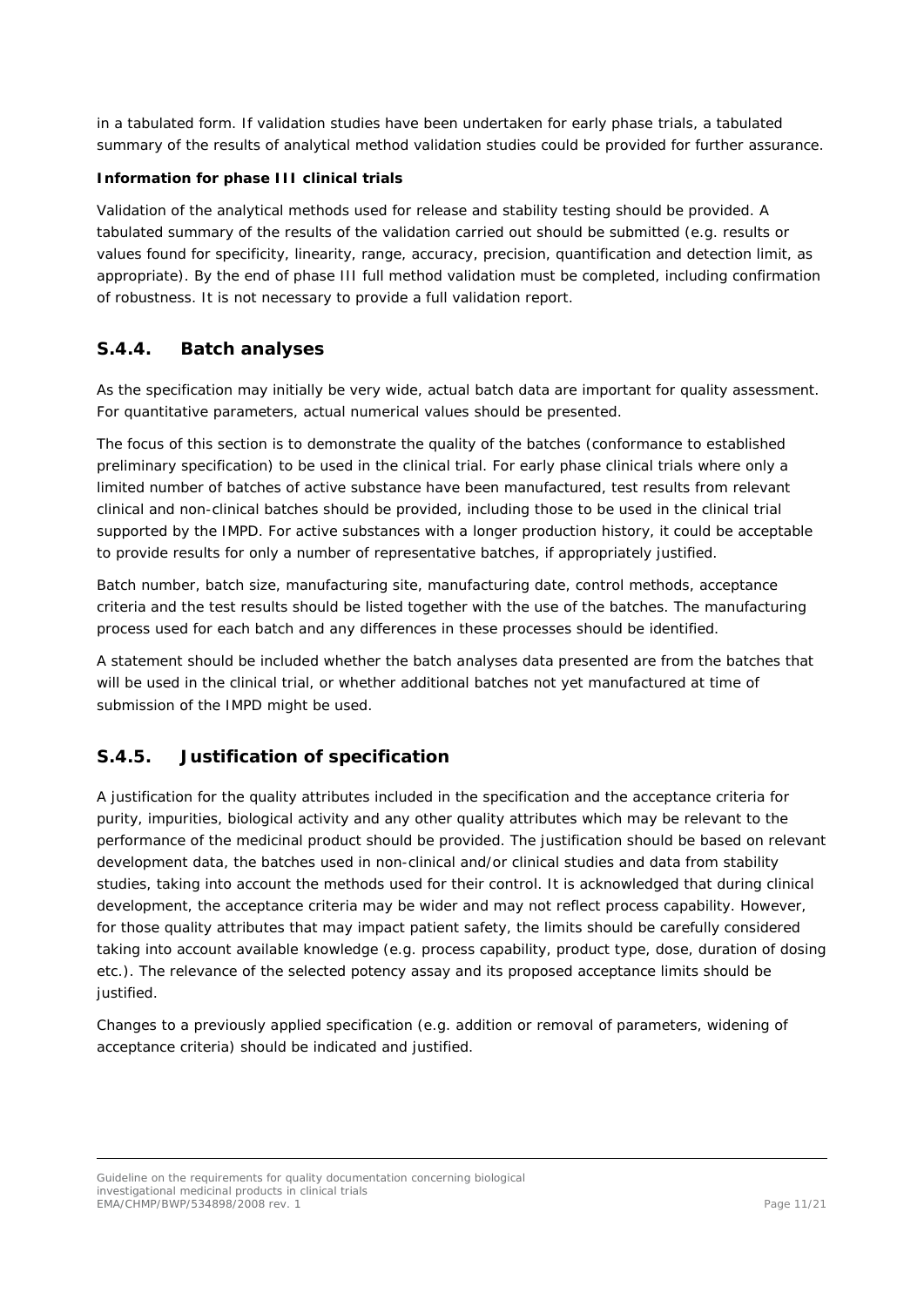in a tabulated form. If validation studies have been undertaken for early phase trials, a tabulated summary of the results of analytical method validation studies could be provided for further assurance.

#### **Information for phase III clinical trials**

Validation of the analytical methods used for release and stability testing should be provided. A tabulated summary of the results of the validation carried out should be submitted (e.g. results or values found for specificity, linearity, range, accuracy, precision, quantification and detection limit, as appropriate). By the end of phase III full method validation must be completed, including confirmation of robustness. It is not necessary to provide a full validation report.

#### **S.4.4. Batch analyses**

As the specification may initially be very wide, actual batch data are important for quality assessment. For quantitative parameters, actual numerical values should be presented.

The focus of this section is to demonstrate the quality of the batches (conformance to established preliminary specification) to be used in the clinical trial. For early phase clinical trials where only a limited number of batches of active substance have been manufactured, test results from relevant clinical and non-clinical batches should be provided, including those to be used in the clinical trial supported by the IMPD. For active substances with a longer production history, it could be acceptable to provide results for only a number of representative batches, if appropriately justified.

Batch number, batch size, manufacturing site, manufacturing date, control methods, acceptance criteria and the test results should be listed together with the use of the batches. The manufacturing process used for each batch and any differences in these processes should be identified.

A statement should be included whether the batch analyses data presented are from the batches that will be used in the clinical trial, or whether additional batches not yet manufactured at time of submission of the IMPD might be used.

## **S.4.5. Justification of specification**

A justification for the quality attributes included in the specification and the acceptance criteria for purity, impurities, biological activity and any other quality attributes which may be relevant to the performance of the medicinal product should be provided. The justification should be based on relevant development data, the batches used in non-clinical and/or clinical studies and data from stability studies, taking into account the methods used for their control. It is acknowledged that during clinical development, the acceptance criteria may be wider and may not reflect process capability. However, for those quality attributes that may impact patient safety, the limits should be carefully considered taking into account available knowledge (e.g. process capability, product type, dose, duration of dosing etc.). The relevance of the selected potency assay and its proposed acceptance limits should be justified.

Changes to a previously applied specification (e.g. addition or removal of parameters, widening of acceptance criteria) should be indicated and justified.

Guideline on the requirements for quality documentation concerning biological investigational medicinal products in clinical trials EMA/CHMP/BWP/534898/2008 rev. 1 Page 11/21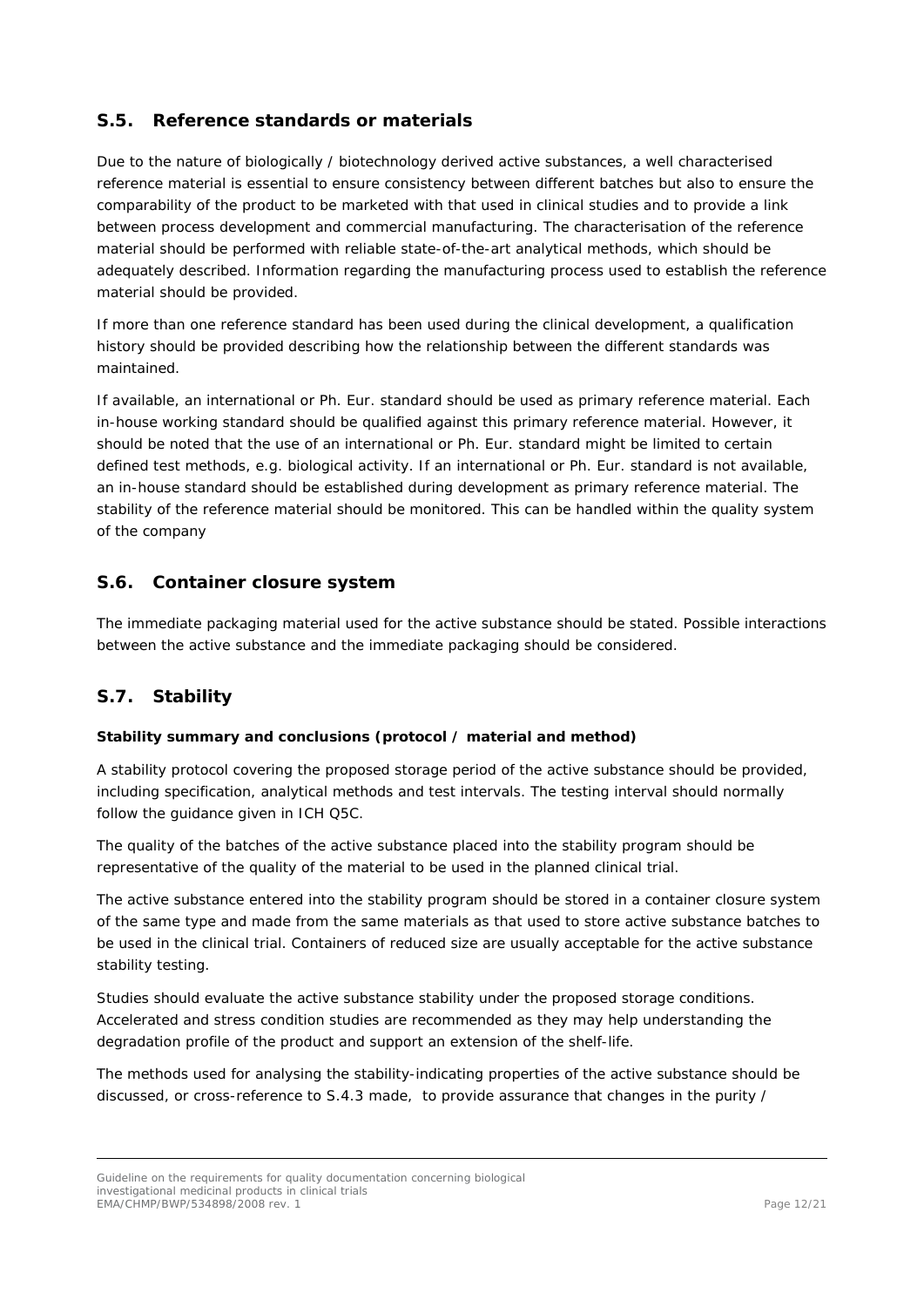## <span id="page-11-0"></span>*S.5. Reference standards or materials*

Due to the nature of biologically / biotechnology derived active substances, a well characterised reference material is essential to ensure consistency between different batches but also to ensure the comparability of the product to be marketed with that used in clinical studies and to provide a link between process development and commercial manufacturing. The characterisation of the reference material should be performed with reliable state-of-the-art analytical methods, which should be adequately described. Information regarding the manufacturing process used to establish the reference material should be provided.

If more than one reference standard has been used during the clinical development, a qualification history should be provided describing how the relationship between the different standards was maintained.

If available, an international or Ph. Eur. standard should be used as primary reference material. Each in-house working standard should be qualified against this primary reference material. However, it should be noted that the use of an international or Ph. Eur. standard might be limited to certain defined test methods, e.g. biological activity. If an international or Ph. Eur. standard is not available, an in-house standard should be established during development as primary reference material. The stability of the reference material should be monitored. This can be handled within the quality system of the company

#### <span id="page-11-1"></span>*S.6. Container closure system*

The immediate packaging material used for the active substance should be stated. Possible interactions between the active substance and the immediate packaging should be considered.

## <span id="page-11-2"></span>*S.7. Stability*

#### **Stability summary and conclusions (protocol / material and method)**

A stability protocol covering the proposed storage period of the active substance should be provided, including specification, analytical methods and test intervals. The testing interval should normally follow the guidance given in ICH Q5C.

The quality of the batches of the active substance placed into the stability program should be representative of the quality of the material to be used in the planned clinical trial.

The active substance entered into the stability program should be stored in a container closure system of the same type and made from the same materials as that used to store active substance batches to be used in the clinical trial. Containers of reduced size are usually acceptable for the active substance stability testing.

Studies should evaluate the active substance stability under the proposed storage conditions. Accelerated and stress condition studies are recommended as they may help understanding the degradation profile of the product and support an extension of the shelf-life.

The methods used for analysing the stability-indicating properties of the active substance should be discussed, or cross-reference to S.4.3 made, to provide assurance that changes in the purity /

Guideline on the requirements for quality documentation concerning biological investigational medicinal products in clinical trials EMA/CHMP/BWP/534898/2008 rev. 1 Page 12/21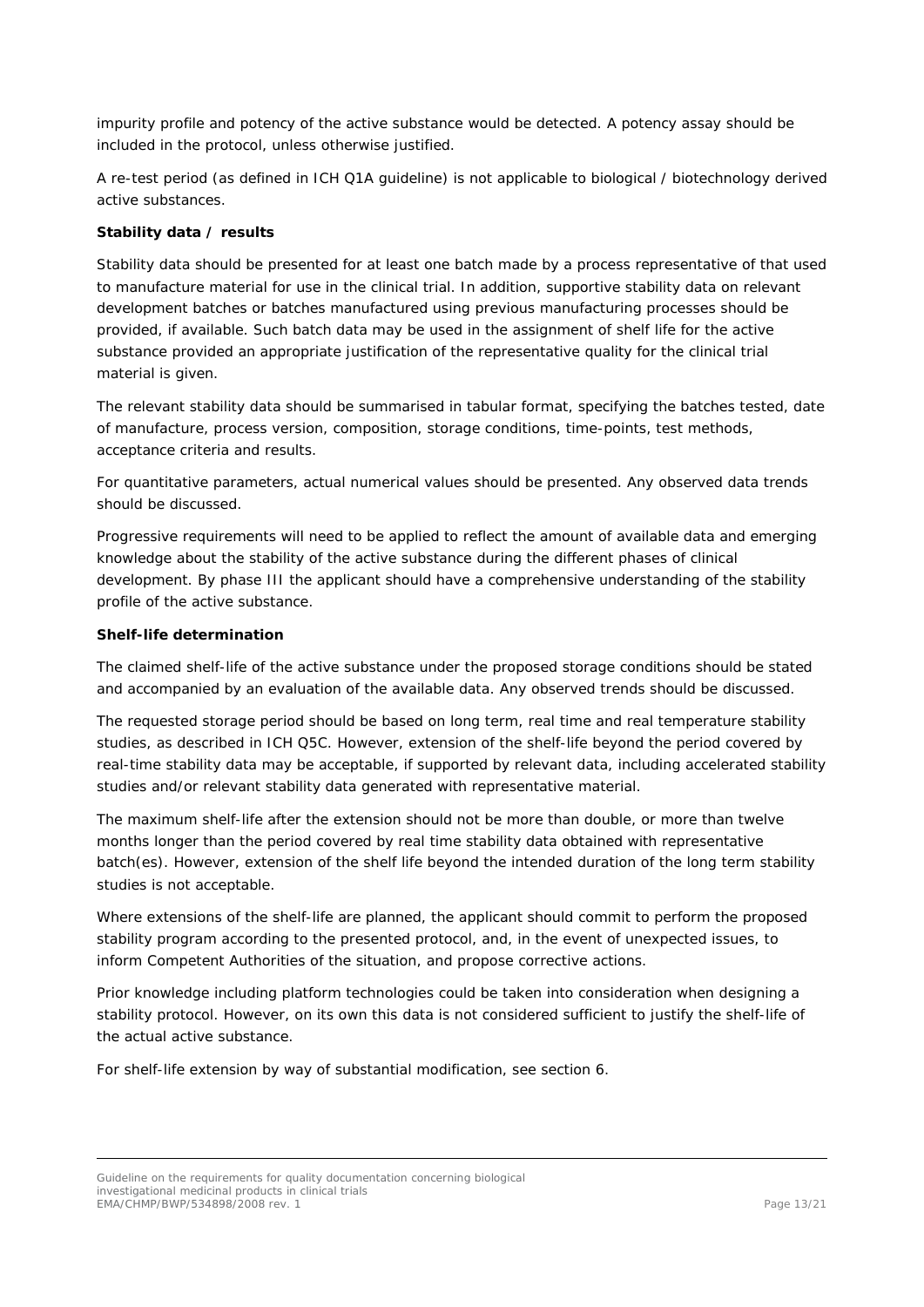impurity profile and potency of the active substance would be detected. A potency assay should be included in the protocol, unless otherwise justified.

A re-test period (as defined in ICH Q1A guideline) is not applicable to biological / biotechnology derived active substances.

#### **Stability data / results**

Stability data should be presented for at least one batch made by a process representative of that used to manufacture material for use in the clinical trial. In addition, supportive stability data on relevant development batches or batches manufactured using previous manufacturing processes should be provided, if available. Such batch data may be used in the assignment of shelf life for the active substance provided an appropriate justification of the representative quality for the clinical trial material is given.

The relevant stability data should be summarised in tabular format, specifying the batches tested, date of manufacture, process version, composition, storage conditions, time-points, test methods, acceptance criteria and results.

For quantitative parameters, actual numerical values should be presented. Any observed data trends should be discussed.

Progressive requirements will need to be applied to reflect the amount of available data and emerging knowledge about the stability of the active substance during the different phases of clinical development. By phase III the applicant should have a comprehensive understanding of the stability profile of the active substance.

#### **Shelf-life determination**

The claimed shelf-life of the active substance under the proposed storage conditions should be stated and accompanied by an evaluation of the available data. Any observed trends should be discussed.

The requested storage period should be based on long term, real time and real temperature stability studies, as described in ICH Q5C. However, extension of the shelf-life beyond the period covered by real-time stability data may be acceptable, if supported by relevant data, including accelerated stability studies and/or relevant stability data generated with representative material.

The maximum shelf-life after the extension should not be more than double, or more than twelve months longer than the period covered by real time stability data obtained with representative batch(es). However, extension of the shelf life beyond the intended duration of the long term stability studies is not acceptable.

Where extensions of the shelf-life are planned, the applicant should commit to perform the proposed stability program according to the presented protocol, and, in the event of unexpected issues, to inform Competent Authorities of the situation, and propose corrective actions.

Prior knowledge including platform technologies could be taken into consideration when designing a stability protocol. However, on its own this data is not considered sufficient to justify the shelf-life of the actual active substance.

For shelf-life extension by way of substantial modification, see section 6.

Guideline on the requirements for quality documentation concerning biological investigational medicinal products in clinical trials EMA/CHMP/BWP/534898/2008 rev. 1 Page 13/21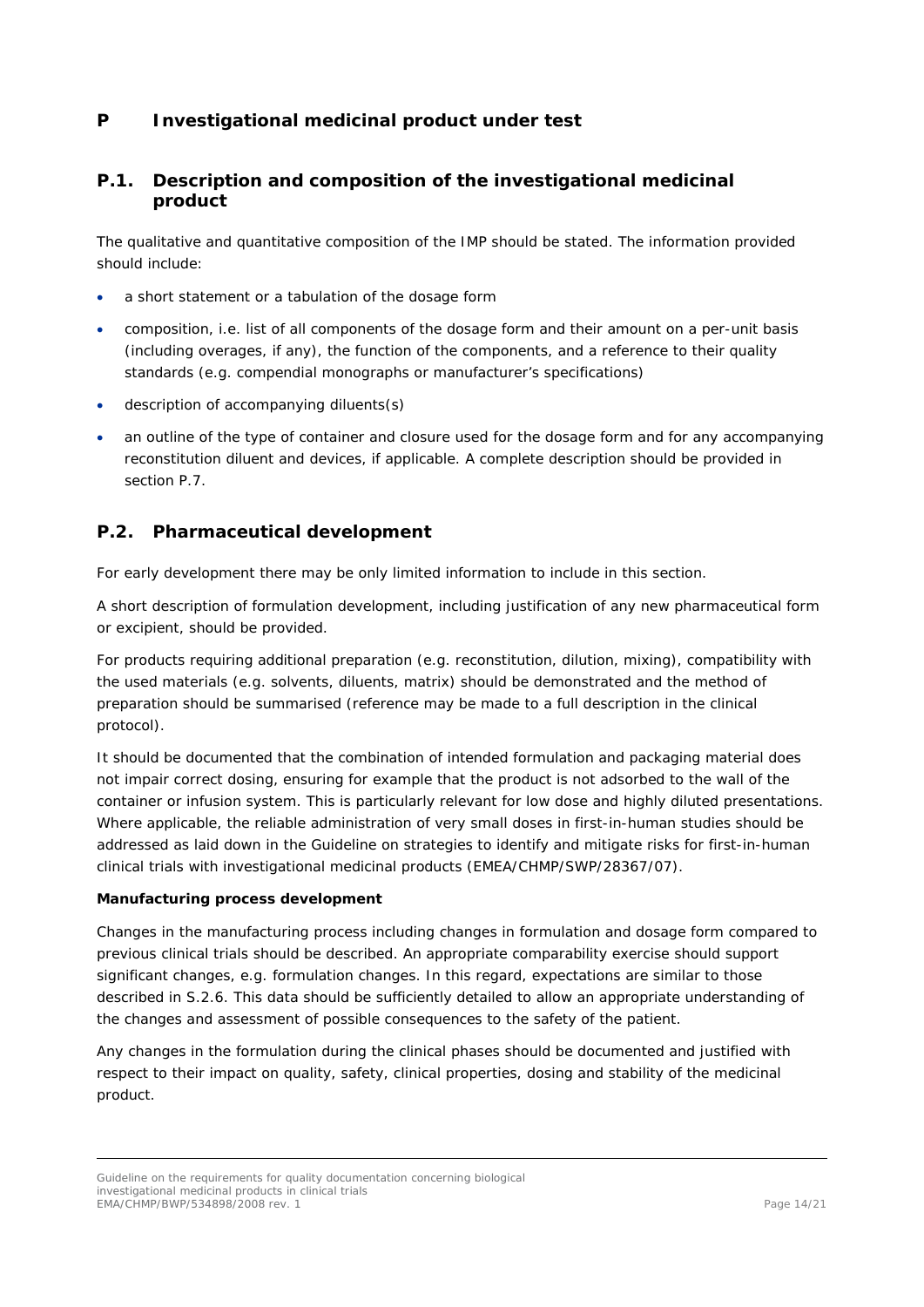## <span id="page-13-0"></span>**P Investigational medicinal product under test**

#### <span id="page-13-1"></span>*P.1. Description and composition of the investigational medicinal product*

The qualitative and quantitative composition of the IMP should be stated. The information provided should include:

- a short statement or a tabulation of the dosage form
- composition, i.e. list of all components of the dosage form and their amount on a per-unit basis (including overages, if any), the function of the components, and a reference to their quality standards (e.g. compendial monographs or manufacturer's specifications)
- description of accompanying diluents(s)
- an outline of the type of container and closure used for the dosage form and for any accompanying reconstitution diluent and devices, if applicable. A complete description should be provided in section P.7.

#### <span id="page-13-2"></span>*P.2. Pharmaceutical development*

For early development there may be only limited information to include in this section.

A short description of formulation development, including justification of any new pharmaceutical form or excipient, should be provided.

For products requiring additional preparation (e.g. reconstitution, dilution, mixing), compatibility with the used materials (e.g. solvents, diluents, matrix) should be demonstrated and the method of preparation should be summarised (reference may be made to a full description in the clinical protocol).

It should be documented that the combination of intended formulation and packaging material does not impair correct dosing, ensuring for example that the product is not adsorbed to the wall of the container or infusion system. This is particularly relevant for low dose and highly diluted presentations. Where applicable, the reliable administration of very small doses in first-in-human studies should be addressed as laid down in the Guideline on strategies to identify and mitigate risks for first-in-human clinical trials with investigational medicinal products (EMEA/CHMP/SWP/28367/07).

#### **Manufacturing process development**

Changes in the manufacturing process including changes in formulation and dosage form compared to previous clinical trials should be described. An appropriate comparability exercise should support significant changes, e.g. formulation changes. In this regard, expectations are similar to those described in S.2.6. This data should be sufficiently detailed to allow an appropriate understanding of the changes and assessment of possible consequences to the safety of the patient.

Any changes in the formulation during the clinical phases should be documented and justified with respect to their impact on quality, safety, clinical properties, dosing and stability of the medicinal product.

Guideline on the requirements for quality documentation concerning biological investigational medicinal products in clinical trials EMA/CHMP/BWP/534898/2008 rev. 1 Page 14/21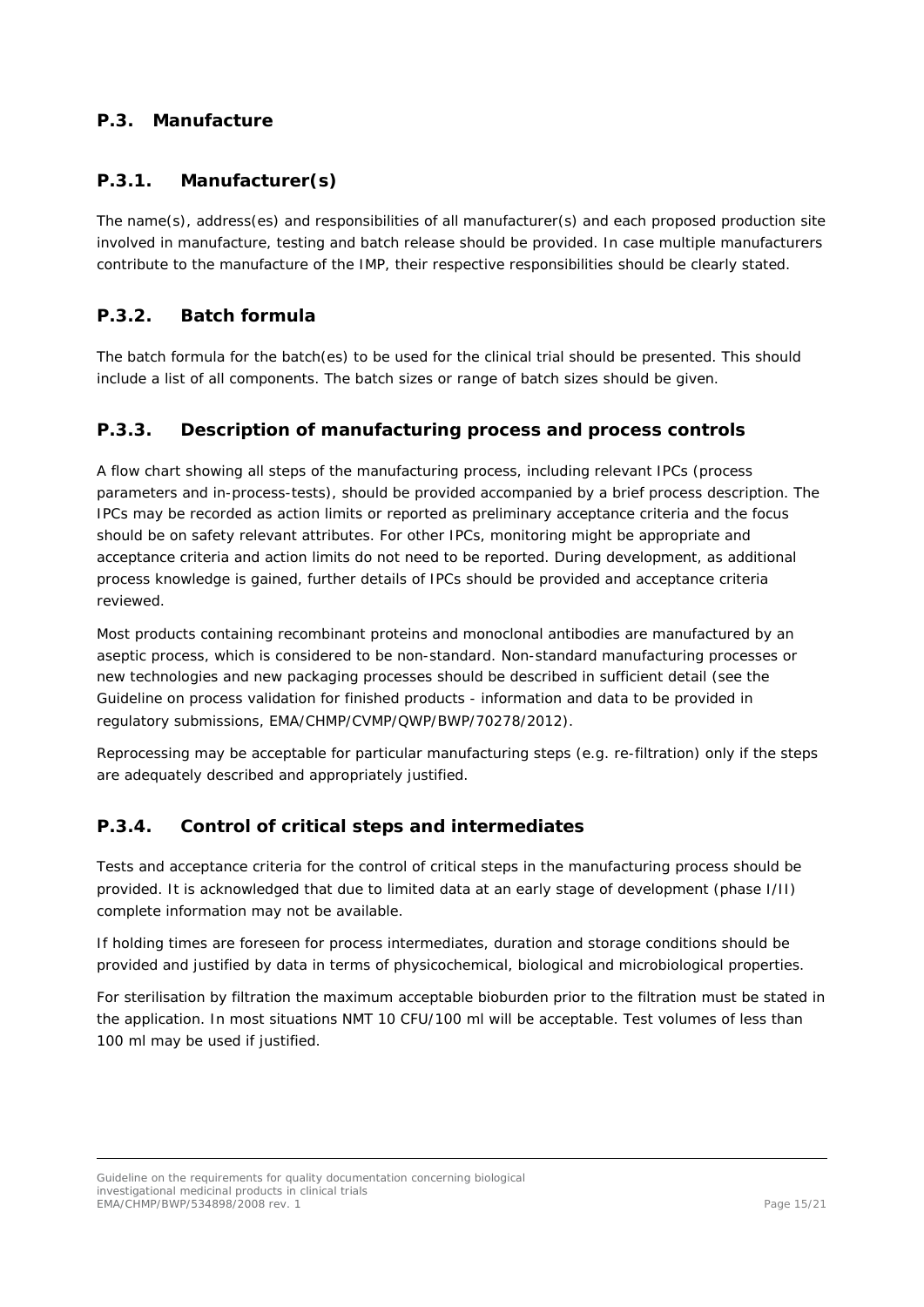## <span id="page-14-0"></span>*P.3. Manufacture*

#### **P.3.1. Manufacturer(s)**

The name(s), address(es) and responsibilities of all manufacturer(s) and each proposed production site involved in manufacture, testing and batch release should be provided. In case multiple manufacturers contribute to the manufacture of the IMP, their respective responsibilities should be clearly stated.

#### **P.3.2. Batch formula**

The batch formula for the batch(es) to be used for the clinical trial should be presented. This should include a list of all components. The batch sizes or range of batch sizes should be given.

#### **P.3.3. Description of manufacturing process and process controls**

A flow chart showing all steps of the manufacturing process, including relevant IPCs (process parameters and in-process-tests), should be provided accompanied by a brief process description. The IPCs may be recorded as action limits or reported as preliminary acceptance criteria and the focus should be on safety relevant attributes. For other IPCs, monitoring might be appropriate and acceptance criteria and action limits do not need to be reported. During development, as additional process knowledge is gained, further details of IPCs should be provided and acceptance criteria reviewed.

Most products containing recombinant proteins and monoclonal antibodies are manufactured by an aseptic process, which is considered to be non-standard. Non-standard manufacturing processes or new technologies and new packaging processes should be described in sufficient detail (see the Guideline on process validation for finished products - information and data to be provided in regulatory submissions, EMA/CHMP/CVMP/QWP/BWP/70278/2012).

Reprocessing may be acceptable for particular manufacturing steps (e.g. re-filtration) only if the steps are adequately described and appropriately justified.

## **P.3.4. Control of critical steps and intermediates**

Tests and acceptance criteria for the control of critical steps in the manufacturing process should be provided. It is acknowledged that due to limited data at an early stage of development (phase I/II) complete information may not be available.

If holding times are foreseen for process intermediates, duration and storage conditions should be provided and justified by data in terms of physicochemical, biological and microbiological properties.

For sterilisation by filtration the maximum acceptable bioburden prior to the filtration must be stated in the application. In most situations NMT 10 CFU/100 ml will be acceptable. Test volumes of less than 100 ml may be used if justified.

Guideline on the requirements for quality documentation concerning biological investigational medicinal products in clinical trials EMA/CHMP/BWP/534898/2008 rev. 1 Page 15/21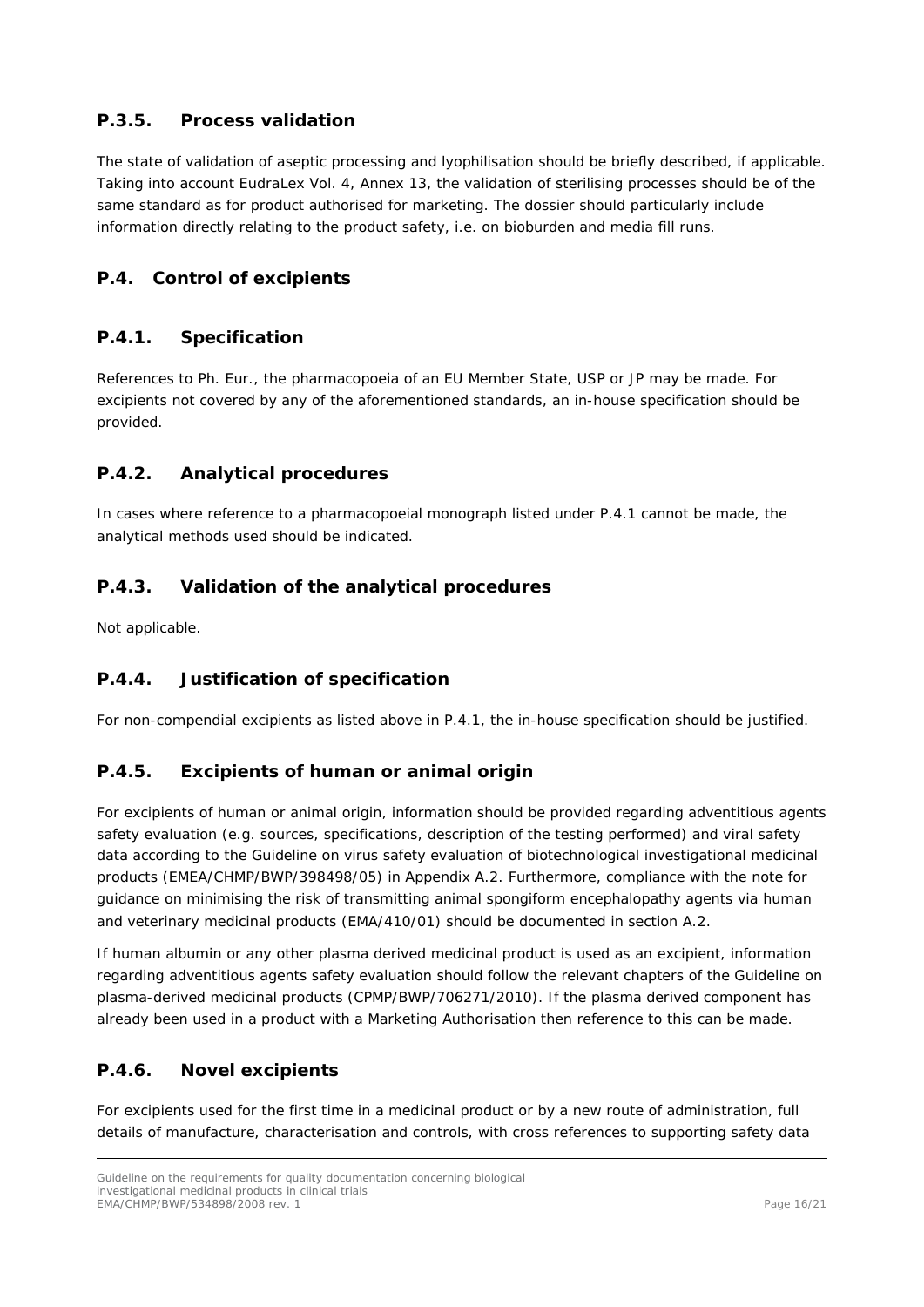#### **P.3.5. Process validation**

The state of validation of aseptic processing and lyophilisation should be briefly described, if applicable. Taking into account EudraLex Vol. 4, Annex 13, the validation of sterilising processes should be of the same standard as for product authorised for marketing. The dossier should particularly include information directly relating to the product safety, i.e. on bioburden and media fill runs.

#### <span id="page-15-0"></span>*P.4. Control of excipients*

#### **P.4.1. Specification**

References to Ph. Eur., the pharmacopoeia of an EU Member State, USP or JP may be made. For excipients not covered by any of the aforementioned standards, an in-house specification should be provided.

#### **P.4.2. Analytical procedures**

In cases where reference to a pharmacopoeial monograph listed under P.4.1 cannot be made, the analytical methods used should be indicated.

#### **P.4.3. Validation of the analytical procedures**

Not applicable.

#### **P.4.4. Justification of specification**

For non-compendial excipients as listed above in P.4.1, the in-house specification should be justified.

#### **P.4.5. Excipients of human or animal origin**

For excipients of human or animal origin, information should be provided regarding adventitious agents safety evaluation (e.g. sources, specifications, description of the testing performed) and viral safety data according to the Guideline on virus safety evaluation of biotechnological investigational medicinal products (EMEA/CHMP/BWP/398498/05) in Appendix A.2. Furthermore, compliance with the note for guidance on minimising the risk of transmitting animal spongiform encephalopathy agents via human and veterinary medicinal products (EMA/410/01) should be documented in section A.2.

If human albumin or any other plasma derived medicinal product is used as an excipient, information regarding adventitious agents safety evaluation should follow the relevant chapters of the Guideline on plasma-derived medicinal products (CPMP/BWP/706271/2010). If the plasma derived component has already been used in a product with a Marketing Authorisation then reference to this can be made.

#### **P.4.6. Novel excipients**

For excipients used for the first time in a medicinal product or by a new route of administration, full details of manufacture, characterisation and controls, with cross references to supporting safety data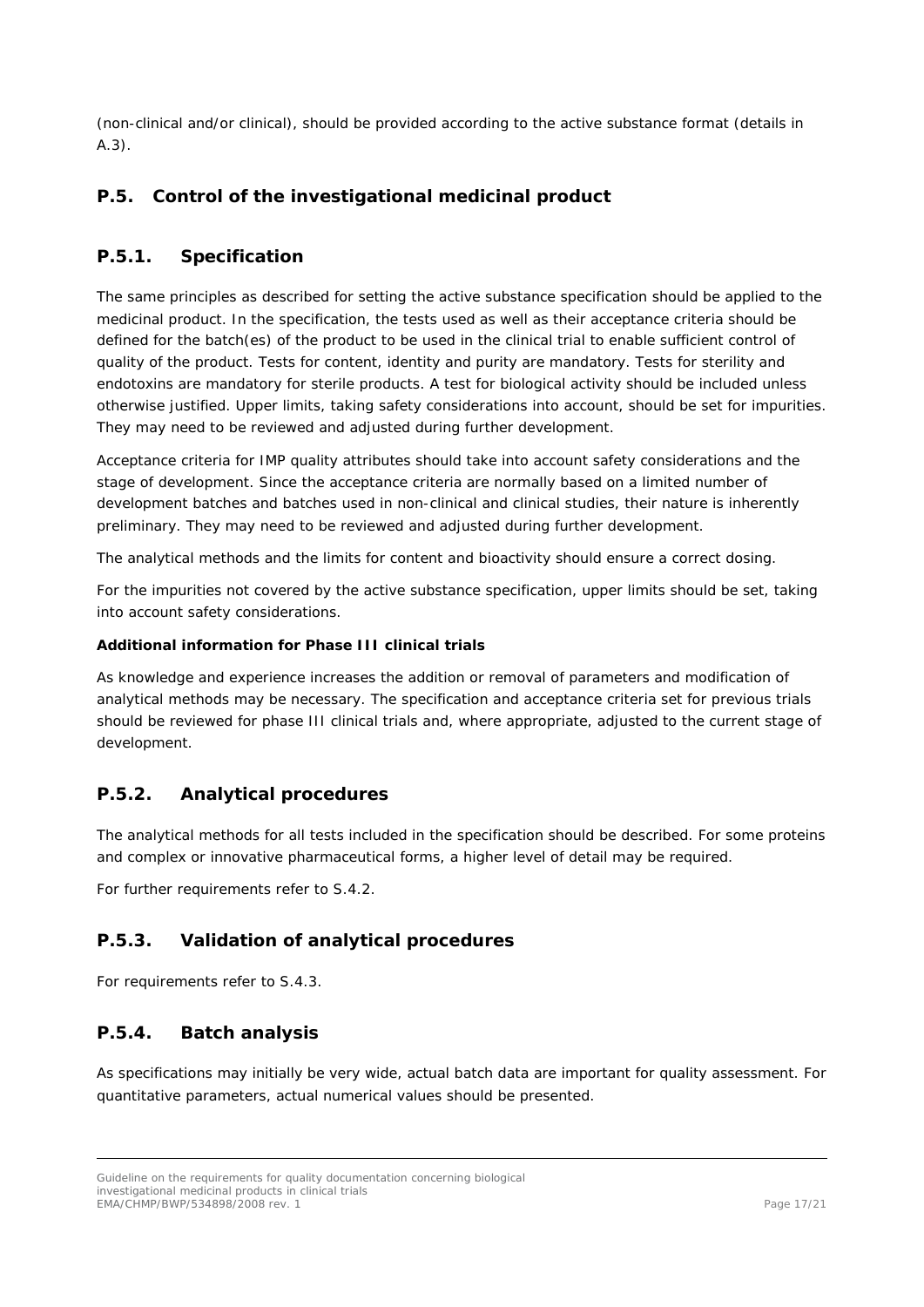(non-clinical and/or clinical), should be provided according to the active substance format (details in A.3).

### <span id="page-16-0"></span>*P.5. Control of the investigational medicinal product*

#### **P.5.1. Specification**

The same principles as described for setting the active substance specification should be applied to the medicinal product. In the specification, the tests used as well as their acceptance criteria should be defined for the batch(es) of the product to be used in the clinical trial to enable sufficient control of quality of the product. Tests for content, identity and purity are mandatory. Tests for sterility and endotoxins are mandatory for sterile products. A test for biological activity should be included unless otherwise justified. Upper limits, taking safety considerations into account, should be set for impurities. They may need to be reviewed and adjusted during further development.

Acceptance criteria for IMP quality attributes should take into account safety considerations and the stage of development. Since the acceptance criteria are normally based on a limited number of development batches and batches used in non-clinical and clinical studies, their nature is inherently preliminary. They may need to be reviewed and adjusted during further development.

The analytical methods and the limits for content and bioactivity should ensure a correct dosing.

For the impurities not covered by the active substance specification, upper limits should be set, taking into account safety considerations.

#### **Additional information for Phase III clinical trials**

As knowledge and experience increases the addition or removal of parameters and modification of analytical methods may be necessary. The specification and acceptance criteria set for previous trials should be reviewed for phase III clinical trials and, where appropriate, adjusted to the current stage of development.

#### **P.5.2. Analytical procedures**

The analytical methods for all tests included in the specification should be described. For some proteins and complex or innovative pharmaceutical forms, a higher level of detail may be required.

For further requirements refer to S.4.2.

#### **P.5.3. Validation of analytical procedures**

For requirements refer to S.4.3.

#### **P.5.4. Batch analysis**

As specifications may initially be very wide, actual batch data are important for quality assessment. For quantitative parameters, actual numerical values should be presented.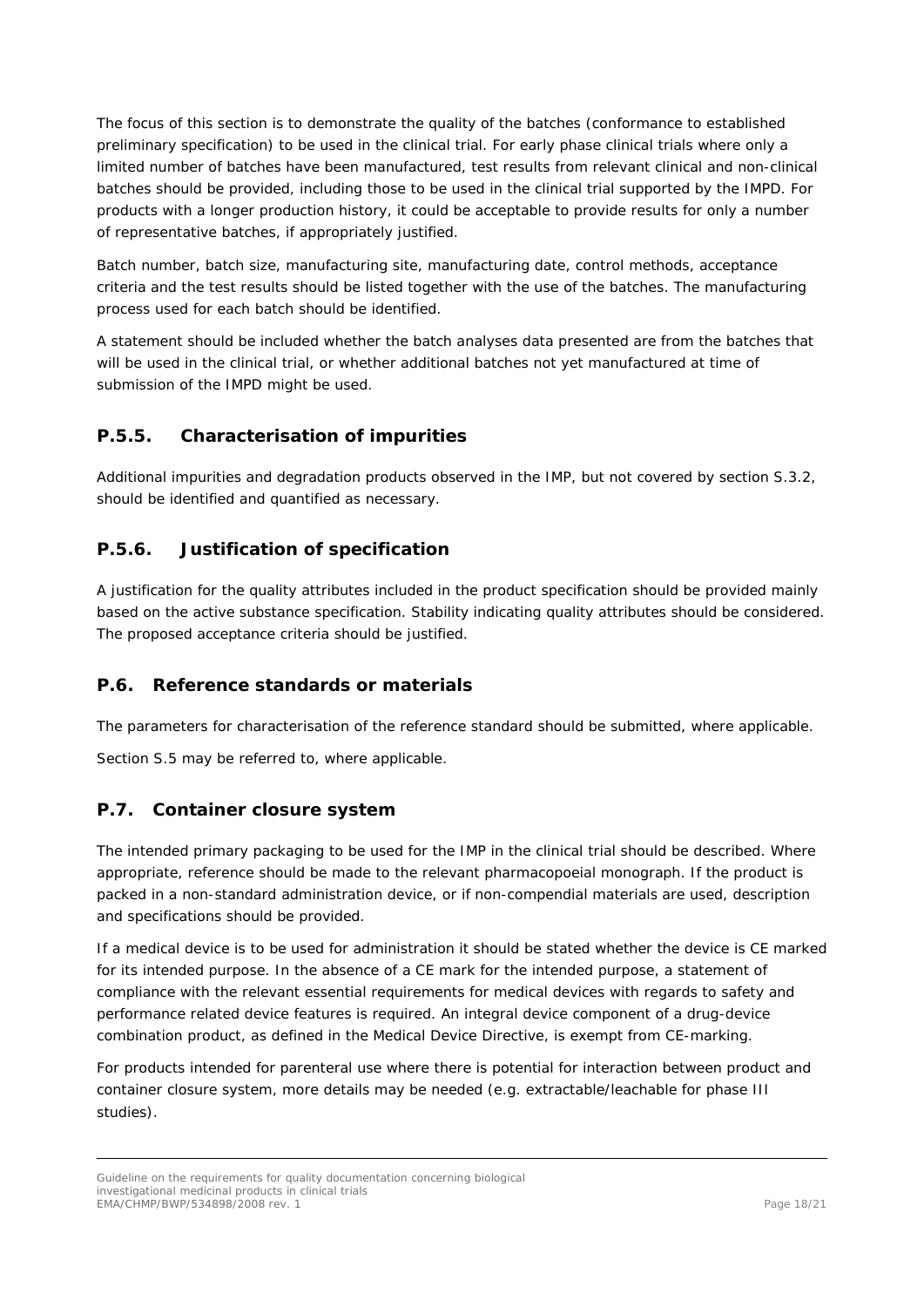The focus of this section is to demonstrate the quality of the batches (conformance to established preliminary specification) to be used in the clinical trial. For early phase clinical trials where only a limited number of batches have been manufactured, test results from relevant clinical and non-clinical batches should be provided, including those to be used in the clinical trial supported by the IMPD. For products with a longer production history, it could be acceptable to provide results for only a number of representative batches, if appropriately justified.

Batch number, batch size, manufacturing site, manufacturing date, control methods, acceptance criteria and the test results should be listed together with the use of the batches. The manufacturing process used for each batch should be identified.

A statement should be included whether the batch analyses data presented are from the batches that will be used in the clinical trial, or whether additional batches not yet manufactured at time of submission of the IMPD might be used.

## **P.5.5. Characterisation of impurities**

Additional impurities and degradation products observed in the IMP, but not covered by section S.3.2, should be identified and quantified as necessary.

#### **P.5.6. Justification of specification**

A justification for the quality attributes included in the product specification should be provided mainly based on the active substance specification. Stability indicating quality attributes should be considered. The proposed acceptance criteria should be justified.

#### <span id="page-17-0"></span>*P.6. Reference standards or materials*

The parameters for characterisation of the reference standard should be submitted, where applicable.

Section S.5 may be referred to, where applicable.

#### <span id="page-17-1"></span>*P.7. Container closure system*

The intended primary packaging to be used for the IMP in the clinical trial should be described. Where appropriate, reference should be made to the relevant pharmacopoeial monograph. If the product is packed in a non-standard administration device, or if non-compendial materials are used, description and specifications should be provided.

If a medical device is to be used for administration it should be stated whether the device is CE marked for its intended purpose. In the absence of a CE mark for the intended purpose, a statement of compliance with the relevant essential requirements for medical devices with regards to safety and performance related device features is required. An integral device component of a drug-device combination product, as defined in the Medical Device Directive, is exempt from CE-marking.

For products intended for parenteral use where there is potential for interaction between product and container closure system, more details may be needed (e.g. extractable/leachable for phase III studies).

Guideline on the requirements for quality documentation concerning biological investigational medicinal products in clinical trials EMA/CHMP/BWP/534898/2008 rev. 1 Page 18/21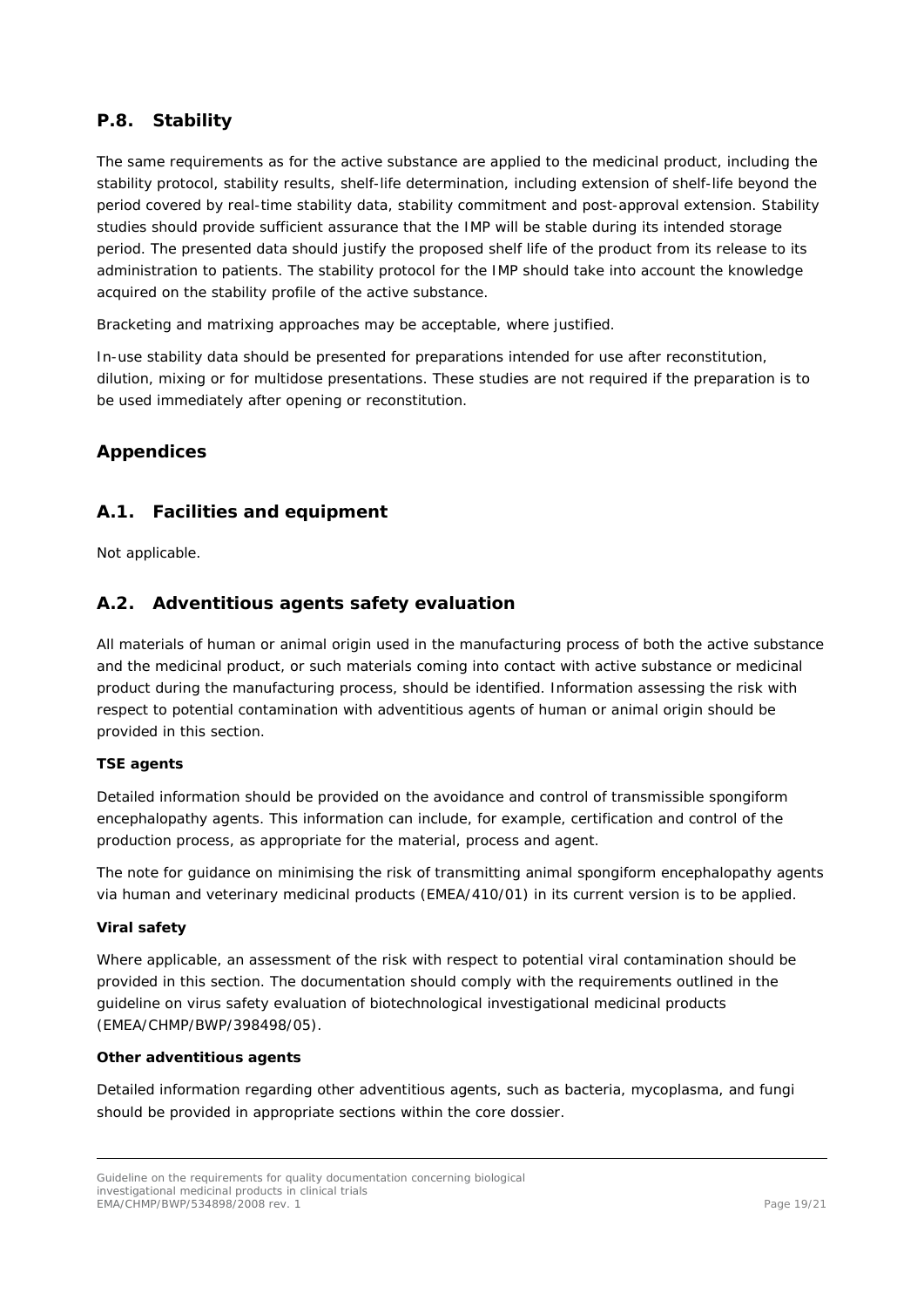## <span id="page-18-0"></span>*P.8. Stability*

The same requirements as for the active substance are applied to the medicinal product, including the stability protocol, stability results, shelf-life determination, including extension of shelf-life beyond the period covered by real-time stability data, stability commitment and post-approval extension. Stability studies should provide sufficient assurance that the IMP will be stable during its intended storage period. The presented data should justify the proposed shelf life of the product from its release to its administration to patients. The stability protocol for the IMP should take into account the knowledge acquired on the stability profile of the active substance.

Bracketing and matrixing approaches may be acceptable, where justified.

In-use stability data should be presented for preparations intended for use after reconstitution, dilution, mixing or for multidose presentations. These studies are not required if the preparation is to be used immediately after opening or reconstitution.

#### <span id="page-18-1"></span>**Appendices**

#### <span id="page-18-2"></span>*A.1. Facilities and equipment*

Not applicable.

#### <span id="page-18-3"></span>*A.2. Adventitious agents safety evaluation*

All materials of human or animal origin used in the manufacturing process of both the active substance and the medicinal product, or such materials coming into contact with active substance or medicinal product during the manufacturing process, should be identified. Information assessing the risk with respect to potential contamination with adventitious agents of human or animal origin should be provided in this section.

#### **TSE agents**

Detailed information should be provided on the avoidance and control of transmissible spongiform encephalopathy agents. This information can include, for example, certification and control of the production process, as appropriate for the material, process and agent.

The note for guidance on minimising the risk of transmitting animal spongiform encephalopathy agents via human and veterinary medicinal products (EMEA/410/01) in its current version is to be applied.

#### **Viral safety**

Where applicable, an assessment of the risk with respect to potential viral contamination should be provided in this section. The documentation should comply with the requirements outlined in the guideline on virus safety evaluation of biotechnological investigational medicinal products (EMEA/CHMP/BWP/398498/05).

#### **Other adventitious agents**

Detailed information regarding other adventitious agents, such as bacteria, mycoplasma, and fungi should be provided in appropriate sections within the core dossier.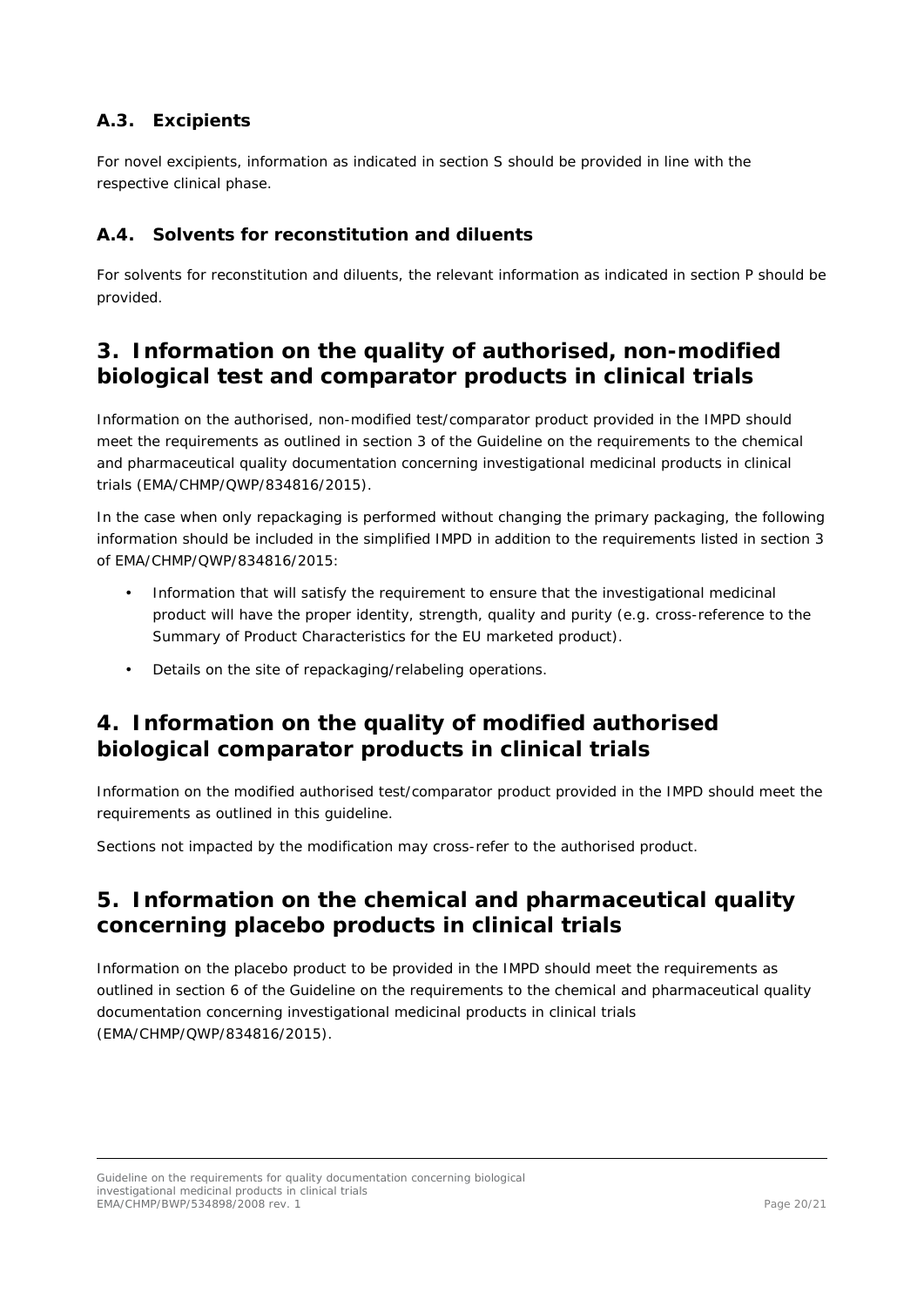## <span id="page-19-0"></span>*A.3. Excipients*

For novel excipients, information as indicated in section S should be provided in line with the respective clinical phase.

### <span id="page-19-1"></span>*A.4. Solvents for reconstitution and diluents*

For solvents for reconstitution and diluents, the relevant information as indicated in section P should be provided.

## <span id="page-19-2"></span>**3. Information on the quality of authorised, non-modified biological test and comparator products in clinical trials**

Information on the authorised, non-modified test/comparator product provided in the IMPD should meet the requirements as outlined in section 3 of the Guideline on the requirements to the chemical and pharmaceutical quality documentation concerning investigational medicinal products in clinical trials (EMA/CHMP/QWP/834816/2015).

In the case when only repackaging is performed without changing the primary packaging, the following information should be included in the simplified IMPD in addition to the requirements listed in section 3 of EMA/CHMP/QWP/834816/2015:

- Information that will satisfy the requirement to ensure that the investigational medicinal product will have the proper identity, strength, quality and purity (e.g. cross-reference to the Summary of Product Characteristics for the EU marketed product).
- Details on the site of repackaging/relabeling operations.

## <span id="page-19-3"></span>**4. Information on the quality of modified authorised biological comparator products in clinical trials**

Information on the modified authorised test/comparator product provided in the IMPD should meet the requirements as outlined in this guideline.

Sections not impacted by the modification may cross-refer to the authorised product.

## <span id="page-19-4"></span>**5. Information on the chemical and pharmaceutical quality concerning placebo products in clinical trials**

Information on the placebo product to be provided in the IMPD should meet the requirements as outlined in section 6 of the Guideline on the requirements to the chemical and pharmaceutical quality documentation concerning investigational medicinal products in clinical trials (EMA/CHMP/QWP/834816/2015).

Guideline on the requirements for quality documentation concerning biological investigational medicinal products in clinical trials EMA/CHMP/BWP/534898/2008 rev. 1 Page 20/21